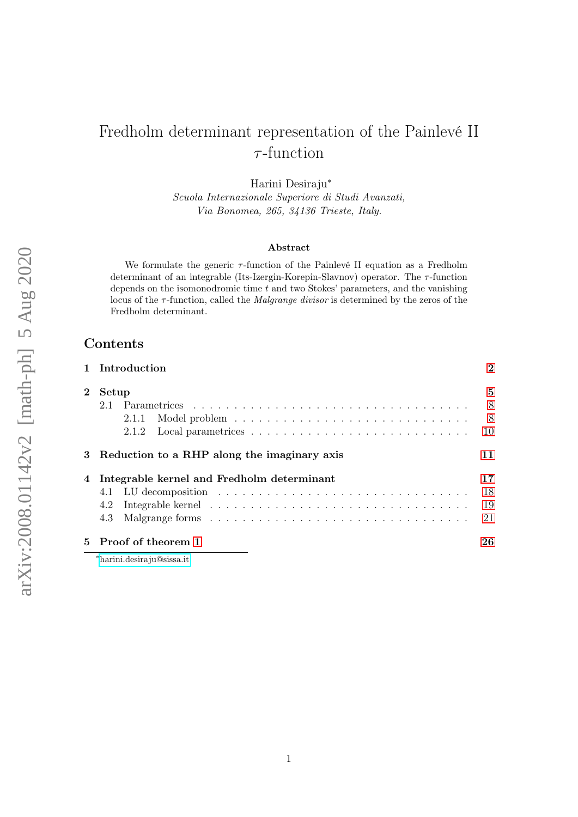# Fredholm determinant representation of the Painlevé II  $\tau$ -function

Harini Desiraju<sup>∗</sup>

Scuola Internazionale Superiore di Studi Avanzati, Via Bonomea, 265, 34136 Trieste, Italy.

#### Abstract

We formulate the generic  $\tau$ -function of the Painlevé II equation as a Fredholm determinant of an integrable (Its-Izergin-Korepin-Slavnov) operator. The  $\tau$ -function depends on the isomonodromic time  $t$  and two Stokes' parameters, and the vanishing locus of the  $\tau$ -function, called the *Malgrange divisor* is determined by the zeros of the Fredholm determinant.

# Contents

|         | 1 Introduction                                | $\overline{2}$ |
|---------|-----------------------------------------------|----------------|
| $2^{-}$ | Setup                                         | 5              |
|         |                                               | -8             |
|         | 2.1.1                                         | 8 <sup>8</sup> |
|         | 2.1.2                                         | 10             |
|         | 3 Reduction to a RHP along the imaginary axis | 11             |
|         | 4 Integrable kernel and Fredholm determinant  | 17             |
|         |                                               | 18             |
|         | 4.2                                           | 19             |
|         | 4.3                                           | 21             |
|         | 5 Proof of theorem 1                          | 26             |
|         | $*$ borini dogiro in $@$ gigao it             |                |

<sup>∗</sup>[harini.desiraju@sissa.it](mailto:harini.desiraju@sissa.it)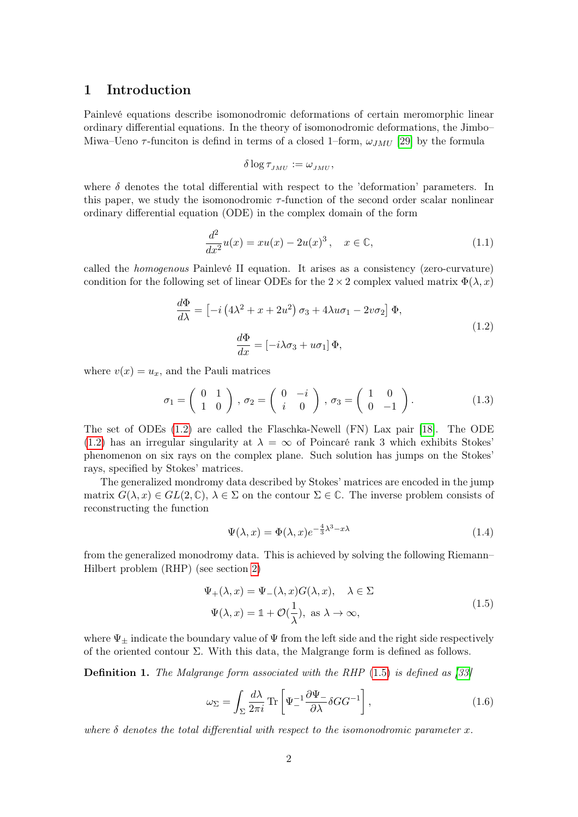## <span id="page-1-0"></span>1 Introduction

Painlevé equations describe isomonodromic deformations of certain meromorphic linear ordinary differential equations. In the theory of isomonodromic deformations, the Jimbo– Miwa–Ueno  $\tau$ -funciton is defind in terms of a closed 1–form,  $\omega_{JMU}$  [\[29\]](#page-27-0) by the formula

<span id="page-1-1"></span>
$$
\delta \log \tau_{JMU} := \omega_{JMU},
$$

where  $\delta$  denotes the total differential with respect to the 'deformation' parameters. In this paper, we study the isomonodromic  $\tau$ -function of the second order scalar nonlinear ordinary differential equation (ODE) in the complex domain of the form

<span id="page-1-3"></span>
$$
\frac{d^2}{dx^2}u(x) = xu(x) - 2u(x)^3, \quad x \in \mathbb{C},
$$
\n(1.1)

called the homogenous Painlevé II equation. It arises as a consistency (zero-curvature) condition for the following set of linear ODEs for the  $2 \times 2$  complex valued matrix  $\Phi(\lambda, x)$ 

$$
\frac{d\Phi}{d\lambda} = \left[ -i \left( 4\lambda^2 + x + 2u^2 \right) \sigma_3 + 4\lambda u \sigma_1 - 2v \sigma_2 \right] \Phi,
$$
  

$$
\frac{d\Phi}{dx} = \left[ -i\lambda \sigma_3 + u \sigma_1 \right] \Phi,
$$
 (1.2)

where  $v(x) = u_x$ , and the Pauli matrices

$$
\sigma_1 = \begin{pmatrix} 0 & 1 \\ 1 & 0 \end{pmatrix}, \sigma_2 = \begin{pmatrix} 0 & -i \\ i & 0 \end{pmatrix}, \sigma_3 = \begin{pmatrix} 1 & 0 \\ 0 & -1 \end{pmatrix}.
$$
 (1.3)

The set of ODEs [\(1.2\)](#page-1-1) are called the Flaschka-Newell (FN) Lax pair [\[18\]](#page-27-1). The ODE [\(1.2\)](#page-1-1) has an irregular singularity at  $\lambda = \infty$  of Poincaré rank 3 which exhibits Stokes' phenomenon on six rays on the complex plane. Such solution has jumps on the Stokes' rays, specified by Stokes' matrices.

The generalized mondromy data described by Stokes' matrices are encoded in the jump matrix  $G(\lambda, x) \in GL(2, \mathbb{C}), \lambda \in \Sigma$  on the contour  $\Sigma \in \mathbb{C}$ . The inverse problem consists of reconstructing the function

$$
\Psi(\lambda, x) = \Phi(\lambda, x)e^{-\frac{4}{3}\lambda^3 - x\lambda}
$$
\n(1.4)

from the generalized monodromy data. This is achieved by solving the following Riemann– Hilbert problem (RHP) (see section [2\)](#page-4-0)

$$
\Psi_{+}(\lambda, x) = \Psi_{-}(\lambda, x)G(\lambda, x), \quad \lambda \in \Sigma
$$
  

$$
\Psi(\lambda, x) = \mathbb{1} + \mathcal{O}(\frac{1}{\lambda}), \text{ as } \lambda \to \infty,
$$
 (1.5)

<span id="page-1-2"></span>where  $\Psi_{\pm}$  indicate the boundary value of  $\Psi$  from the left side and the right side respectively of the oriented contour Σ. With this data, the Malgrange form is defined as follows.

**Definition 1.** The Malgrange form associated with the RHP  $(1.5)$  is defined as [\[33\]](#page-28-0)

<span id="page-1-4"></span>
$$
\omega_{\Sigma} = \int_{\Sigma} \frac{d\lambda}{2\pi i} \text{Tr} \left[ \Psi_{-}^{-1} \frac{\partial \Psi_{-}}{\partial \lambda} \delta G G^{-1} \right], \qquad (1.6)
$$

where  $\delta$  denotes the total differential with respect to the isomonodromic parameter x.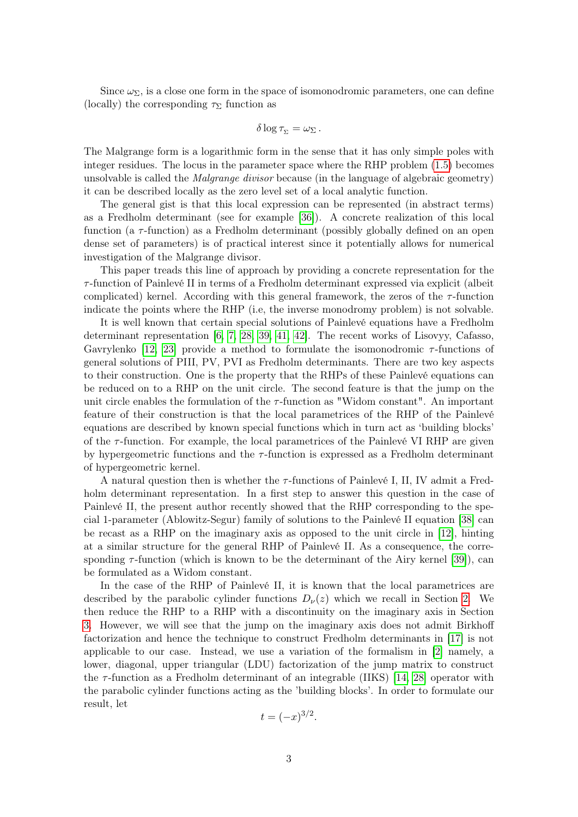Since  $\omega_{\Sigma}$ , is a close one form in the space of isomonodromic parameters, one can define (locally) the corresponding  $\tau_{\Sigma}$  function as

$$
\delta \log \tau_{\Sigma} = \omega_{\Sigma}.
$$

The Malgrange form is a logarithmic form in the sense that it has only simple poles with integer residues. The locus in the parameter space where the RHP problem [\(1.5\)](#page-1-2) becomes unsolvable is called the Malgrange divisor because (in the language of algebraic geometry) it can be described locally as the zero level set of a local analytic function.

The general gist is that this local expression can be represented (in abstract terms) as a Fredholm determinant (see for example [\[36\]](#page-28-1)). A concrete realization of this local function (a  $\tau$ -function) as a Fredholm determinant (possibly globally defined on an open dense set of parameters) is of practical interest since it potentially allows for numerical investigation of the Malgrange divisor.

This paper treads this line of approach by providing a concrete representation for the  $\tau$ -function of Painlevé II in terms of a Fredholm determinant expressed via explicit (albeit complicated) kernel. According with this general framework, the zeros of the  $\tau$ -function indicate the points where the RHP (i.e, the inverse monodromy problem) is not solvable.

It is well known that certain special solutions of Painlevé equations have a Fredholm determinant representation [\[6,](#page-26-0) [7,](#page-26-1) [28,](#page-27-2) [39,](#page-28-2) [41,](#page-28-3) [42\]](#page-28-4). The recent works of Lisovyy, Cafasso, Gavrylenko [\[12,](#page-26-2) [23\]](#page-27-3) provide a method to formulate the isomonodromic  $\tau$ -functions of general solutions of PIII, PV, PVI as Fredholm determinants. There are two key aspects to their construction. One is the property that the RHPs of these Painlevé equations can be reduced on to a RHP on the unit circle. The second feature is that the jump on the unit circle enables the formulation of the  $\tau$ -function as "Widom constant". An important feature of their construction is that the local parametrices of the RHP of the Painlevé equations are described by known special functions which in turn act as 'building blocks' of the  $\tau$ -function. For example, the local parametrices of the Painlevé VI RHP are given by hypergeometric functions and the  $\tau$ -function is expressed as a Fredholm determinant of hypergeometric kernel.

A natural question then is whether the  $\tau$ -functions of Painlevé I, II, IV admit a Fredholm determinant representation. In a first step to answer this question in the case of Painlevé II, the present author recently showed that the RHP corresponding to the special 1-parameter (Ablowitz-Segur) family of solutions to the Painlevé II equation [\[38\]](#page-28-5) can be recast as a RHP on the imaginary axis as opposed to the unit circle in [\[12\]](#page-26-2), hinting at a similar structure for the general RHP of Painlevé II. As a consequence, the corresponding  $\tau$ -function (which is known to be the determinant of the Airy kernel [\[39\]](#page-28-2)), can be formulated as a Widom constant.

In the case of the RHP of Painlevé II, it is known that the local parametrices are described by the parabolic cylinder functions  $D_{\nu}(z)$  which we recall in Section [2.](#page-4-0) We then reduce the RHP to a RHP with a discontinuity on the imaginary axis in Section [3.](#page-10-0) However, we will see that the jump on the imaginary axis does not admit Birkhoff factorization and hence the technique to construct Fredholm determinants in [\[17\]](#page-27-4) is not applicable to our case. Instead, we use a variation of the formalism in [\[2\]](#page-26-3) namely, a lower, diagonal, upper triangular (LDU) factorization of the jump matrix to construct the  $\tau$ -function as a Fredholm determinant of an integrable (IIKS) [\[14,](#page-26-4) [28\]](#page-27-2) operator with the parabolic cylinder functions acting as the 'building blocks'. In order to formulate our result, let

$$
t=(-x)^{3/2}.
$$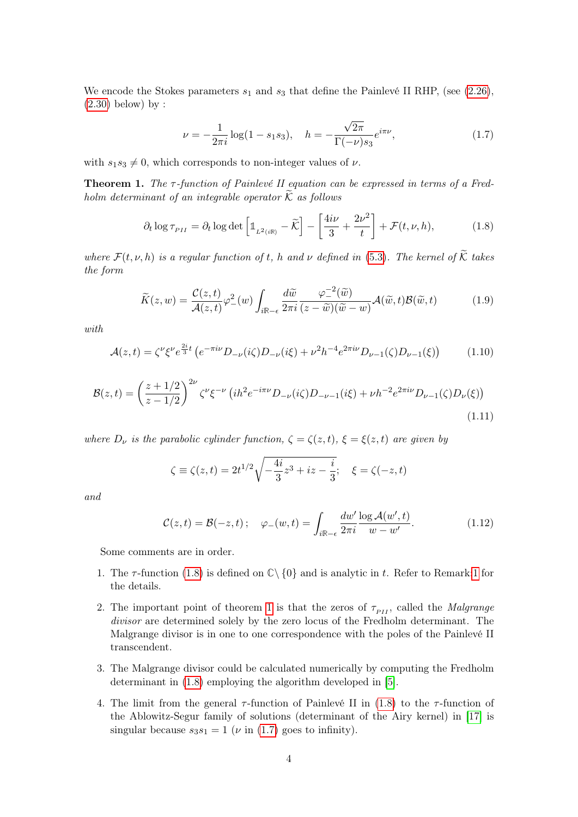We encode the Stokes parameters  $s_1$  and  $s_3$  that define the Painlevé II RHP, (see [\(2.26\)](#page-9-1),  $(2.30)$  below) by :

<span id="page-3-2"></span><span id="page-3-1"></span>
$$
\nu = -\frac{1}{2\pi i} \log(1 - s_1 s_3), \quad h = -\frac{\sqrt{2\pi}}{\Gamma(-\nu)s_3} e^{i\pi \nu}, \tag{1.7}
$$

with  $s_1s_3 \neq 0$ , which corresponds to non-integer values of  $\nu$ .

<span id="page-3-0"></span>**Theorem 1.** The  $\tau$ -function of Painlevé II equation can be expressed in terms of a Fredholm determinant of an integrable operator  $\widetilde{K}$  as follows

$$
\partial_t \log \tau_{PII} = \partial_t \log \det \left[ \mathbb{1}_{L^2(i\mathbb{R})} - \widetilde{\mathcal{K}} \right] - \left[ \frac{4i\nu}{3} + \frac{2\nu^2}{t} \right] + \mathcal{F}(t, \nu, h), \tag{1.8}
$$

where  $\mathcal{F}(t, \nu, h)$  is a regular function of t, h and  $\nu$  defined in [\(5.3\)](#page-25-1). The kernel of  $\widetilde{\mathcal{K}}$  takes the form

$$
\widetilde{K}(z,w) = \frac{\mathcal{C}(z,t)}{\mathcal{A}(z,t)} \varphi_{-}^{2}(w) \int_{i\mathbb{R}-\epsilon} \frac{d\widetilde{w}}{2\pi i} \frac{\varphi_{-}^{-2}(\widetilde{w})}{(z-\widetilde{w})(\widetilde{w}-w)} \mathcal{A}(\widetilde{w},t) \mathcal{B}(\widetilde{w},t) \tag{1.9}
$$

with

$$
\mathcal{A}(z,t) = \zeta^{\nu} \xi^{\nu} e^{\frac{2i}{3}t} \left( e^{-\pi i \nu} D_{-\nu}(i\zeta) D_{-\nu}(i\xi) + \nu^2 h^{-4} e^{2\pi i \nu} D_{\nu-1}(\zeta) D_{\nu-1}(\xi) \right) \tag{1.10}
$$

$$
\mathcal{B}(z,t) = \left(\frac{z+1/2}{z-1/2}\right)^{2\nu} \zeta^{\nu} \xi^{-\nu} \left(i h^2 e^{-i\pi\nu} D_{-\nu}(i\zeta) D_{-\nu-1}(i\xi) + \nu h^{-2} e^{2\pi i\nu} D_{\nu-1}(\zeta) D_{\nu}(\xi)\right)
$$
\n(1.11)

where  $D_{\nu}$  is the parabolic cylinder function,  $\zeta = \zeta(z,t)$ ,  $\xi = \xi(z,t)$  are given by

$$
\zeta \equiv \zeta(z,t) = 2t^{1/2}\sqrt{-\frac{4i}{3}z^3 + iz - \frac{i}{3}}; \quad \xi = \zeta(-z,t)
$$

and

$$
\mathcal{C}(z,t) = \mathcal{B}(-z,t); \quad \varphi_{-}(w,t) = \int_{i\mathbb{R}-\epsilon} \frac{dw'}{2\pi i} \frac{\log \mathcal{A}(w',t)}{w - w'}.\tag{1.12}
$$

Some comments are in order.

- 1. The  $\tau$ -function [\(1.8\)](#page-3-1) is defined on  $\mathbb{C}\setminus\{0\}$  and is analytic in t. Refer to Remark[:1](#page-10-2) for the details.
- 2. The important point of theorem [1](#page-3-0) is that the zeros of  $\tau_{PI}$ , called the *Malgrange* divisor are determined solely by the zero locus of the Fredholm determinant. The Malgrange divisor is in one to one correspondence with the poles of the Painlevé II transcendent.
- 3. The Malgrange divisor could be calculated numerically by computing the Fredholm determinant in [\(1.8\)](#page-3-1) employing the algorithm developed in [\[5\]](#page-26-5).
- 4. The limit from the general  $\tau$ -function of Painlevé II in [\(1.8\)](#page-3-1) to the  $\tau$ -function of the Ablowitz-Segur family of solutions (determinant of the Airy kernel) in [\[17\]](#page-27-4) is singular because  $s_3s_1 = 1$  ( $\nu$  in [\(1.7\)](#page-3-2) goes to infinity).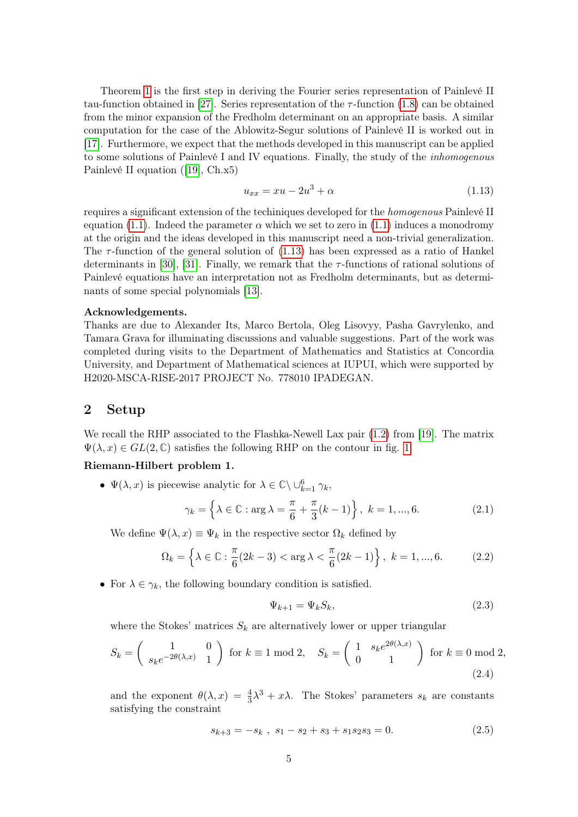Theorem [1](#page-3-0) is the first step in deriving the Fourier series representation of Painlevé II tau-function obtained in [\[27\]](#page-27-5). Series representation of the  $\tau$ -function [\(1.8\)](#page-3-1) can be obtained from the minor expansion of the Fredholm determinant on an appropriate basis. A similar computation for the case of the Ablowitz-Segur solutions of Painlevé II is worked out in [\[17\]](#page-27-4). Furthermore, we expect that the methods developed in this manuscript can be applied to some solutions of Painlevé I and IV equations. Finally, the study of the inhomogenous Painlevé II equation ([\[19\]](#page-27-6), Ch.x5)

<span id="page-4-1"></span>
$$
u_{xx} = xu - 2u^3 + \alpha \tag{1.13}
$$

requires a significant extension of the techiniques developed for the homogenous Painlevé II equation [\(1.1\)](#page-1-3). Indeed the parameter  $\alpha$  which we set to zero in (1.1) induces a monodromy at the origin and the ideas developed in this manuscript need a non-trivial generalization. The  $\tau$ -function of the general solution of [\(1.13\)](#page-4-1) has been expressed as a ratio of Hankel determinants in [\[30\]](#page-27-7), [\[31\]](#page-27-8). Finally, we remark that the  $\tau$ -functions of rational solutions of Painlevé equations have an interpretation not as Fredholm determinants, but as determinants of some special polynomials [\[13\]](#page-26-6).

#### Acknowledgements.

Thanks are due to Alexander Its, Marco Bertola, Oleg Lisovyy, Pasha Gavrylenko, and Tamara Grava for illuminating discussions and valuable suggestions. Part of the work was completed during visits to the Department of Mathematics and Statistics at Concordia University, and Department of Mathematical sciences at IUPUI, which were supported by H2020-MSCA-RISE-2017 PROJECT No. 778010 IPADEGAN.

## <span id="page-4-0"></span>2 Setup

We recall the RHP associated to the Flashka-Newell Lax pair  $(1.2)$  from [\[19\]](#page-27-6). The matrix  $\Psi(\lambda, x) \in GL(2, \mathbb{C})$  satisfies the following RHP on the contour in fig. [1.](#page-5-0)

#### Riemann-Hilbert problem 1.

•  $\Psi(\lambda, x)$  is piecewise analytic for  $\lambda \in \mathbb{C} \setminus \cup_{k=1}^6 \gamma_k$ ,

$$
\gamma_k = \left\{ \lambda \in \mathbb{C} : \arg \lambda = \frac{\pi}{6} + \frac{\pi}{3} (k - 1) \right\}, \ k = 1, ..., 6.
$$
 (2.1)

We define  $\Psi(\lambda, x) \equiv \Psi_k$  in the respective sector  $\Omega_k$  defined by

$$
\Omega_k = \left\{ \lambda \in \mathbb{C} : \frac{\pi}{6} (2k - 3) < \arg \lambda < \frac{\pi}{6} (2k - 1) \right\}, \ k = 1, ..., 6. \tag{2.2}
$$

• For  $\lambda \in \gamma_k$ , the following boundary condition is satisfied.

<span id="page-4-3"></span>
$$
\Psi_{k+1} = \Psi_k S_k,\tag{2.3}
$$

where the Stokes' matrices  $S_k$  are alternatively lower or upper triangular

$$
S_k = \begin{pmatrix} 1 & 0 \\ s_k e^{-2\theta(\lambda, x)} & 1 \end{pmatrix} \text{ for } k \equiv 1 \bmod 2, \quad S_k = \begin{pmatrix} 1 & s_k e^{2\theta(\lambda, x)} \\ 0 & 1 \end{pmatrix} \text{ for } k \equiv 0 \bmod 2,
$$
\n(2.4)

and the exponent  $\theta(\lambda, x) = \frac{4}{3}\lambda^3 + x\lambda$ . The Stokes' parameters  $s_k$  are constants satisfying the constraint

<span id="page-4-2"></span>
$$
s_{k+3} = -s_k , s_1 - s_2 + s_3 + s_1 s_2 s_3 = 0.
$$
 (2.5)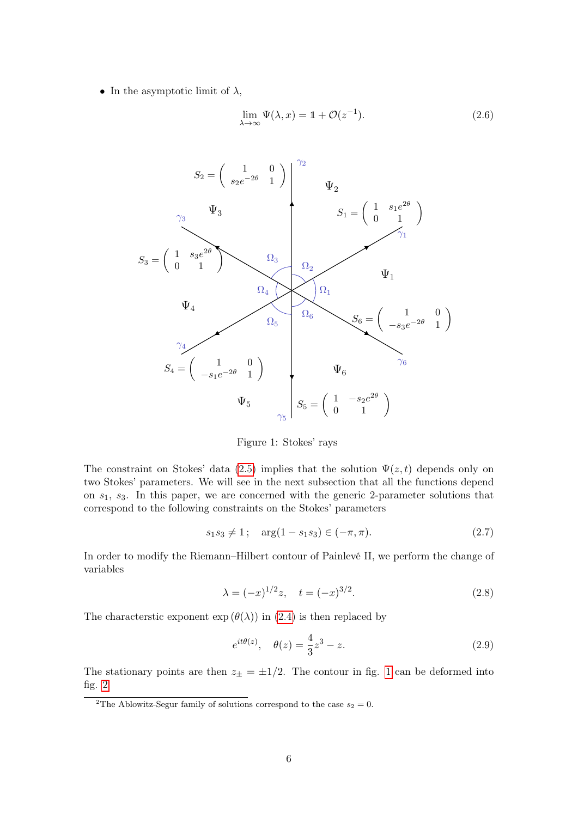• In the asymptotic limit of  $\lambda$ ,

$$
\lim_{\lambda \to \infty} \Psi(\lambda, x) = \mathbb{1} + \mathcal{O}(z^{-1}). \tag{2.6}
$$



<span id="page-5-0"></span>Figure 1: Stokes' rays

The constraint on Stokes' data [\(2.5\)](#page-4-2) implies that the solution  $\Psi(z,t)$  depends only on two Stokes' parameters. We will see in the next subsection that all the functions depend on  $s<sub>1</sub>$ ,  $s<sub>3</sub>$ . In this paper, we are concerned with the generic 2-parameter solutions that correspond to the following constraints on the Stokes' parameters

$$
s_1 s_3 \neq 1; \quad \arg(1 - s_1 s_3) \in (-\pi, \pi). \tag{2.7}
$$

In order to modify the Riemann–Hilbert contour of Painlevé II, we perform the change of variables

$$
\lambda = (-x)^{1/2} z, \quad t = (-x)^{3/2}.
$$
 (2.8)

The characterstic exponent  $\exp(\theta(\lambda))$  in [\(2.4\)](#page-4-3) is then replaced by

$$
e^{it\theta(z)}
$$
,  $\theta(z) = \frac{4}{3}z^3 - z$ . (2.9)

The stationary points are then  $z_{\pm} = \pm 1/2$  $z_{\pm} = \pm 1/2$  $z_{\pm} = \pm 1/2$ . The contour in fig. 1 can be deformed into fig. [2](#page-6-0)

<sup>&</sup>lt;sup>2</sup>The Ablowitz-Segur family of solutions correspond to the case  $s_2 = 0$ .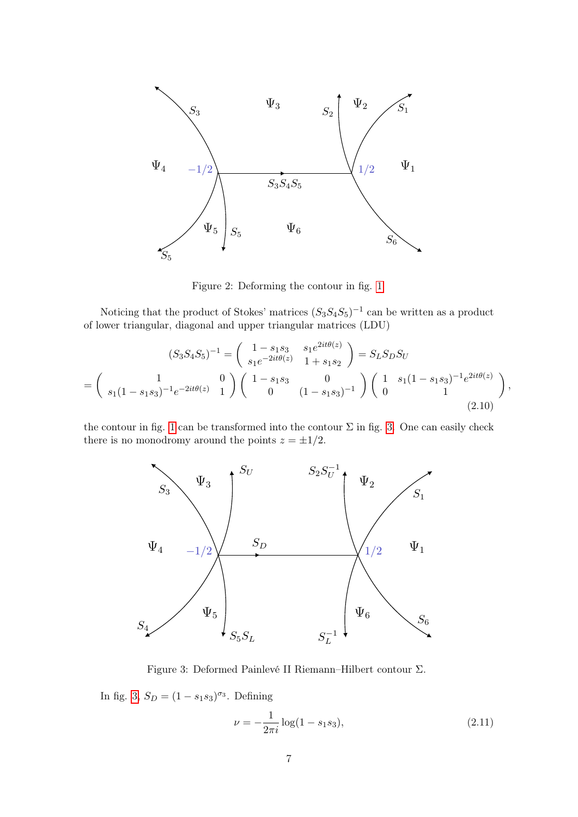

<span id="page-6-0"></span>Figure 2: Deforming the contour in fig. [1](#page-5-0)

Noticing that the product of Stokes' matrices  $(S_3S_4S_5)^{-1}$  can be written as a product of lower triangular, diagonal and upper triangular matrices (LDU)

$$
(S_3 S_4 S_5)^{-1} = \begin{pmatrix} 1 - s_1 s_3 & s_1 e^{2it\theta(z)} \\ s_1 e^{-2it\theta(z)} & 1 + s_1 s_2 \end{pmatrix} = S_L S_D S_U
$$
  
= 
$$
\begin{pmatrix} 1 & 0 \\ s_1 (1 - s_1 s_3)^{-1} e^{-2it\theta(z)} & 1 \end{pmatrix} \begin{pmatrix} 1 - s_1 s_3 & 0 \\ 0 & (1 - s_1 s_3)^{-1} \end{pmatrix} \begin{pmatrix} 1 & s_1 (1 - s_1 s_3)^{-1} e^{2it\theta(z)} \\ 0 & 1 \end{pmatrix},
$$
(2.10)

the contour in fig. [1](#page-5-0) can be transformed into the contour  $\Sigma$  in fig. [3.](#page-6-1) One can easily check there is no monodromy around the points  $z = \pm 1/2$ .



Figure 3: Deformed Painlevé II Riemann–Hilbert contour Σ.

In fig. [3,](#page-6-1)  $S_D = (1 - s_1 s_3)^{\sigma_3}$ . Defining

<span id="page-6-2"></span><span id="page-6-1"></span>
$$
\nu = -\frac{1}{2\pi i} \log(1 - s_1 s_3),\tag{2.11}
$$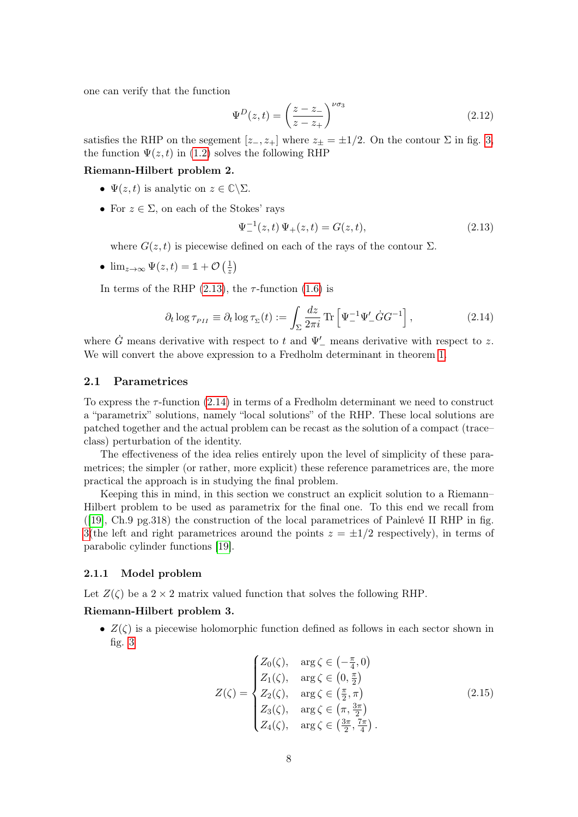one can verify that the function

<span id="page-7-4"></span>
$$
\Psi^D(z,t) = \left(\frac{z-z_-}{z-z_+}\right)^{\nu\sigma_3} \tag{2.12}
$$

satisfies the RHP on the segement  $[z_-, z_+]$  where  $z_+ = \pm 1/2$ . On the contour  $\Sigma$  in fig. [3,](#page-6-1) the function  $\Psi(z, t)$  in [\(1.2\)](#page-1-1) solves the following RHP

#### Riemann-Hilbert problem 2.

- $\Psi(z, t)$  is analytic on  $z \in \mathbb{C} \backslash \Sigma$ .
- For  $z \in \Sigma$ , on each of the Stokes' rays

<span id="page-7-2"></span>
$$
\Psi_{-}^{-1}(z,t)\,\Psi_{+}(z,t) = G(z,t),\tag{2.13}
$$

where  $G(z, t)$  is piecewise defined on each of the rays of the contour  $\Sigma$ .

•  $\lim_{z\to\infty} \Psi(z,t) = \mathbb{1} + \mathcal{O}\left(\frac{1}{z}\right)$  $rac{1}{z}$ 

In terms of the RHP  $(2.13)$ , the  $\tau$ -function  $(1.6)$  is

<span id="page-7-3"></span>
$$
\partial_t \log \tau_{PII} \equiv \partial_t \log \tau_{\Sigma}(t) := \int_{\Sigma} \frac{dz}{2\pi i} \operatorname{Tr} \left[ \Psi_-^{-1} \Psi_-' \dot{G} G^{-1} \right], \tag{2.14}
$$

where  $\dot{G}$  means derivative with respect to t and  $\Psi'$  means derivative with respect to z. We will convert the above expression to a Fredholm determinant in theorem [1.](#page-3-0)

#### <span id="page-7-0"></span>2.1 Parametrices

To express the  $\tau$ -function [\(2.14\)](#page-7-3) in terms of a Fredholm determinant we need to construct a "parametrix" solutions, namely "local solutions" of the RHP. These local solutions are patched together and the actual problem can be recast as the solution of a compact (trace– class) perturbation of the identity.

The effectiveness of the idea relies entirely upon the level of simplicity of these parametrices; the simpler (or rather, more explicit) these reference parametrices are, the more practical the approach is in studying the final problem.

Keeping this in mind, in this section we construct an explicit solution to a Riemann– Hilbert problem to be used as parametrix for the final one. To this end we recall from ([\[19\]](#page-27-6), Ch.9 pg.318) the construction of the local parametrices of Painlevé II RHP in fig. [3\(](#page-6-1)the left and right parametrices around the points  $z = \pm 1/2$  respectively), in terms of parabolic cylinder functions [\[19\]](#page-27-6).

#### <span id="page-7-1"></span>2.1.1 Model problem

Let  $Z(\zeta)$  be a  $2 \times 2$  matrix valued function that solves the following RHP.

#### Riemann-Hilbert problem 3.

•  $Z(\zeta)$  is a piecewise holomorphic function defined as follows in each sector shown in fig.  $3$ 

$$
Z(\zeta) = \begin{cases} Z_0(\zeta), & \arg \zeta \in \left(-\frac{\pi}{4}, 0\right) \\ Z_1(\zeta), & \arg \zeta \in \left(0, \frac{\pi}{2}\right) \\ Z_2(\zeta), & \arg \zeta \in \left(\frac{\pi}{2}, \pi\right) \\ Z_3(\zeta), & \arg \zeta \in \left(\pi, \frac{3\pi}{2}\right) \\ Z_4(\zeta), & \arg \zeta \in \left(\frac{3\pi}{2}, \frac{7\pi}{4}\right). \end{cases} \tag{2.15}
$$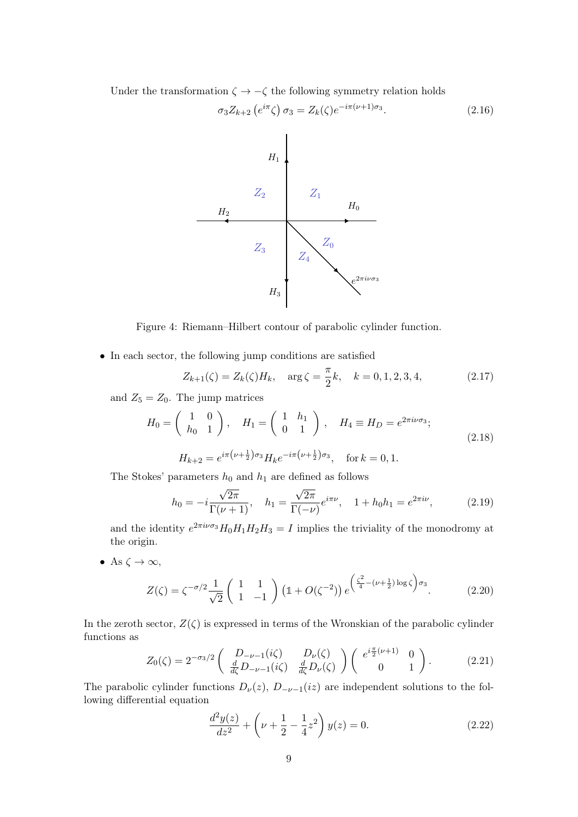Under the transformation  $\zeta \to -\zeta$  the following symmetry relation holds

<span id="page-8-0"></span>
$$
\sigma_3 Z_{k+2} \left( e^{i\pi} \zeta \right) \sigma_3 = Z_k(\zeta) e^{-i\pi(\nu+1)\sigma_3}.
$$
\n(2.16)



Figure 4: Riemann–Hilbert contour of parabolic cylinder function.

• In each sector, the following jump conditions are satisfied

<span id="page-8-4"></span><span id="page-8-2"></span>
$$
Z_{k+1}(\zeta) = Z_k(\zeta)H_k, \quad \arg \zeta = \frac{\pi}{2}k, \quad k = 0, 1, 2, 3, 4,
$$
 (2.17)

and  $Z_5 = Z_0$ . The jump matrices

$$
H_0 = \begin{pmatrix} 1 & 0 \\ h_0 & 1 \end{pmatrix}, \quad H_1 = \begin{pmatrix} 1 & h_1 \\ 0 & 1 \end{pmatrix}, \quad H_4 \equiv H_D = e^{2\pi i \nu \sigma_3};
$$
  

$$
H_{k+2} = e^{i\pi \left(\nu + \frac{1}{2}\right) \sigma_3} H_k e^{-i\pi \left(\nu + \frac{1}{2}\right) \sigma_3}, \quad \text{for } k = 0, 1.
$$
 (2.18)

The Stokes' parameters  $h_0$  and  $h_1$  are defined as follows

<span id="page-8-1"></span>
$$
h_0 = -i\frac{\sqrt{2\pi}}{\Gamma(\nu+1)}, \quad h_1 = \frac{\sqrt{2\pi}}{\Gamma(-\nu)}e^{i\pi\nu}, \quad 1 + h_0 h_1 = e^{2\pi i\nu}, \tag{2.19}
$$

and the identity  $e^{2\pi i\nu\sigma_3}H_0H_1H_2H_3 = I$  implies the triviality of the monodromy at the origin.

• As  $\zeta \to \infty$ ,

$$
Z(\zeta) = \zeta^{-\sigma/2} \frac{1}{\sqrt{2}} \begin{pmatrix} 1 & 1 \ 1 & -1 \end{pmatrix} \left(1 + O(\zeta^{-2})\right) e^{\left(\frac{\zeta^2}{4} - (\nu + \frac{1}{2})\log \zeta\right) \sigma_3}.
$$
 (2.20)

In the zeroth sector,  $Z(\zeta)$  is expressed in terms of the Wronskian of the parabolic cylinder functions as

<span id="page-8-3"></span>
$$
Z_0(\zeta) = 2^{-\sigma_3/2} \begin{pmatrix} D_{-\nu-1}(i\zeta) & D_{\nu}(\zeta) \\ \frac{d}{d\zeta} D_{-\nu-1}(i\zeta) & \frac{d}{d\zeta} D_{\nu}(\zeta) \end{pmatrix} \begin{pmatrix} e^{i\frac{\pi}{2}(\nu+1)} & 0 \\ 0 & 1 \end{pmatrix}.
$$
 (2.21)

The parabolic cylinder functions  $D_{\nu}(z)$ ,  $D_{-\nu-1}(iz)$  are independent solutions to the following differential equation

$$
\frac{d^2y(z)}{dz^2} + \left(\nu + \frac{1}{2} - \frac{1}{4}z^2\right)y(z) = 0.
$$
\n(2.22)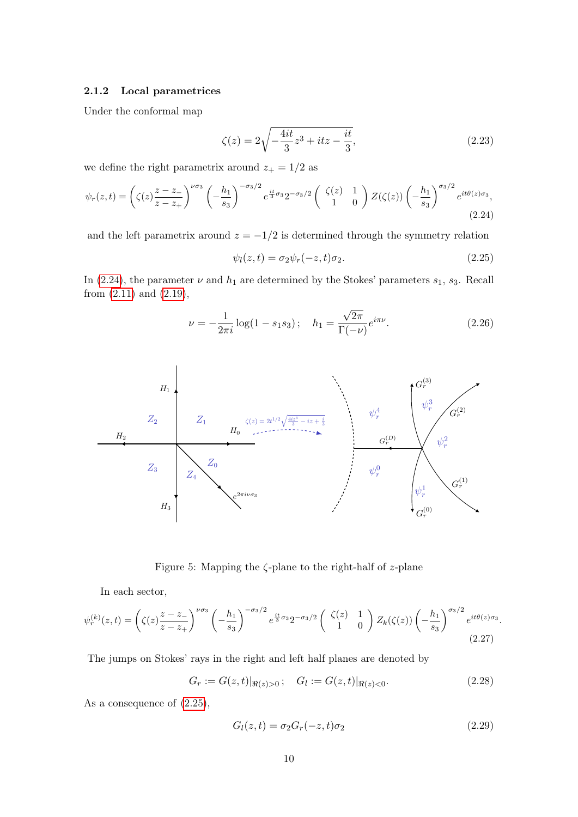#### <span id="page-9-0"></span>2.1.2 Local parametrices

Under the conformal map

<span id="page-9-5"></span>
$$
\zeta(z) = 2\sqrt{-\frac{4it}{3}z^3 + itz - \frac{it}{3}},\tag{2.23}
$$

we define the right parametrix around  $z_+ = 1/2$  as

$$
\psi_r(z,t) = \left(\zeta(z)\frac{z-z}{z-z_+}\right)^{\nu\sigma_3} \left(-\frac{h_1}{s_3}\right)^{-\sigma_3/2} e^{\frac{it}{3}\sigma_3} 2^{-\sigma_3/2} \left(\begin{array}{cc} \zeta(z) & 1\\ 1 & 0 \end{array}\right) Z(\zeta(z)) \left(-\frac{h_1}{s_3}\right)^{\sigma_3/2} e^{it\theta(z)\sigma_3},\tag{2.24}
$$

and the left parametrix around  $z = -1/2$  is determined through the symmetry relation

<span id="page-9-3"></span><span id="page-9-2"></span><span id="page-9-1"></span>
$$
\psi_l(z,t) = \sigma_2 \psi_r(-z,t)\sigma_2. \tag{2.25}
$$

In [\(2.24\)](#page-9-2), the parameter  $\nu$  and  $h_1$  are determined by the Stokes' parameters  $s_1$ ,  $s_3$ . Recall from [\(2.11\)](#page-6-2) and [\(2.19\)](#page-8-1),

$$
\nu = -\frac{1}{2\pi i} \log(1 - s_1 s_3); \quad h_1 = \frac{\sqrt{2\pi}}{\Gamma(-\nu)} e^{i\pi \nu}.
$$
 (2.26)



Figure 5: Mapping the  $\zeta$ -plane to the right-half of z-plane

In each sector,

$$
\psi_r^{(k)}(z,t) = \left(\zeta(z)\frac{z-z_-}{z-z_+}\right)^{\nu\sigma_3} \left(-\frac{h_1}{s_3}\right)^{-\sigma_3/2} e^{\frac{it}{3}\sigma_3} 2^{-\sigma_3/2} \left(\begin{array}{cc} \zeta(z) & 1\\ 1 & 0 \end{array}\right) Z_k(\zeta(z)) \left(-\frac{h_1}{s_3}\right)^{\sigma_3/2} e^{it\theta(z)\sigma_3}.
$$
\n(2.27)

The jumps on Stokes' rays in the right and left half planes are denoted by

$$
G_r := G(z, t)|_{\Re(z) > 0}; \quad G_l := G(z, t)|_{\Re(z) < 0}.
$$
 (2.28)

As a consequence of [\(2.25\)](#page-9-3),

<span id="page-9-7"></span><span id="page-9-6"></span><span id="page-9-4"></span>
$$
G_l(z,t) = \sigma_2 G_r(-z,t)\sigma_2 \tag{2.29}
$$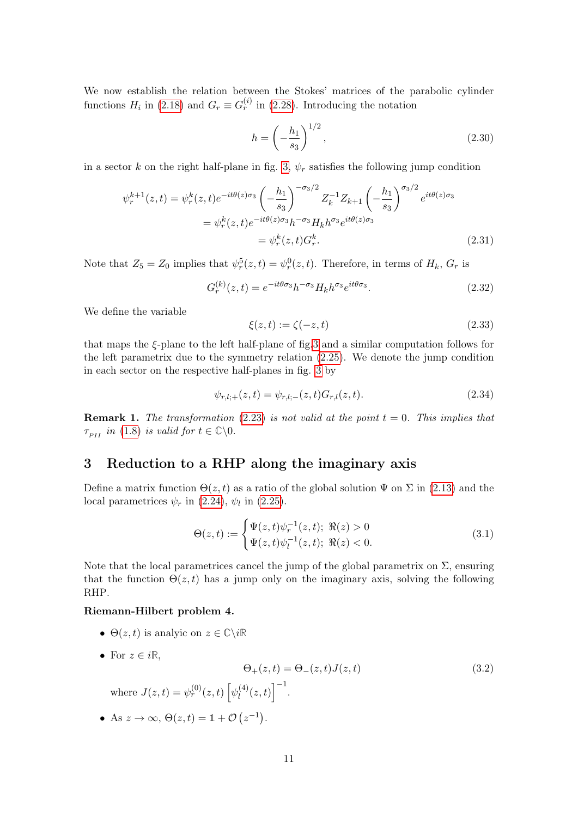We now establish the relation between the Stokes' matrices of the parabolic cylinder functions  $H_i$  in [\(2.18\)](#page-8-2) and  $G_r \equiv G_r^{(i)}$  in [\(2.28\)](#page-9-4). Introducing the notation

<span id="page-10-1"></span>
$$
h = \left(-\frac{h_1}{s_3}\right)^{1/2},\tag{2.30}
$$

in a sector k on the right half-plane in fig. [3,](#page-6-1)  $\psi_r$  satisfies the following jump condition

$$
\psi_r^{k+1}(z,t) = \psi_r^k(z,t)e^{-it\theta(z)\sigma_3} \left(-\frac{h_1}{s_3}\right)^{-\sigma_3/2} Z_k^{-1} Z_{k+1} \left(-\frac{h_1}{s_3}\right)^{\sigma_3/2} e^{it\theta(z)\sigma_3}
$$

$$
= \psi_r^k(z,t)e^{-it\theta(z)\sigma_3}h^{-\sigma_3} H_k h^{\sigma_3} e^{it\theta(z)\sigma_3}
$$

$$
= \psi_r^k(z,t)G_r^k. \tag{2.31}
$$

Note that  $Z_5 = Z_0$  implies that  $\psi_r^5(z, t) = \psi_r^0(z, t)$ . Therefore, in terms of  $H_k$ ,  $G_r$  is

$$
G_r^{(k)}(z,t) = e^{-it\theta\sigma_3}h^{-\sigma_3}H_kh^{\sigma_3}e^{it\theta\sigma_3}.
$$
\n(2.32)

We define the variable

<span id="page-10-8"></span><span id="page-10-7"></span><span id="page-10-6"></span>
$$
\xi(z,t) := \zeta(-z,t) \tag{2.33}
$$

that maps the  $\xi$ -plane to the left half-plane of fig[.3](#page-6-1) and a similar computation follows for the left parametrix due to the symmetry relation [\(2.25\)](#page-9-3). We denote the jump condition in each sector on the respective half-planes in fig. [3](#page-6-1) by

$$
\psi_{r,l;+}(z,t) = \psi_{r,l;-}(z,t)G_{r,l}(z,t). \tag{2.34}
$$

<span id="page-10-2"></span>**Remark 1.** The transformation [\(2.23\)](#page-9-5) is not valid at the point  $t = 0$ . This implies that  $\tau_{PII}$  in [\(1.8\)](#page-3-1) is valid for  $t \in \mathbb{C}\backslash 0$ .

## <span id="page-10-0"></span>3 Reduction to a RHP along the imaginary axis

Define a matrix function  $\Theta(z,t)$  as a ratio of the global solution  $\Psi$  on  $\Sigma$  in [\(2.13\)](#page-7-2) and the local parametrices  $\psi_r$  in [\(2.24\)](#page-9-2),  $\psi_l$  in [\(2.25\)](#page-9-3).

<span id="page-10-3"></span>
$$
\Theta(z,t) := \begin{cases} \Psi(z,t)\psi_r^{-1}(z,t); \ \Re(z) > 0\\ \Psi(z,t)\psi_l^{-1}(z,t); \ \Re(z) < 0. \end{cases}
$$
(3.1)

<span id="page-10-4"></span>Note that the local parametrices cancel the jump of the global parametrix on  $\Sigma$ , ensuring that the function  $\Theta(z,t)$  has a jump only on the imaginary axis, solving the following RHP.

#### Riemann-Hilbert problem 4.

- $\Theta(z, t)$  is analyic on  $z \in \mathbb{C} \backslash i\mathbb{R}$
- For  $z \in i\mathbb{R}$ ,

<span id="page-10-5"></span>
$$
\Theta_{+}(z,t) = \Theta_{-}(z,t)J(z,t)
$$
\nwhere  $J(z,t) = \psi_r^{(0)}(z,t) \left[ \psi_l^{(4)}(z,t) \right]^{-1}$ .

\n(3.2)

• As  $z \to \infty$ ,  $\Theta(z, t) = \mathbb{1} + \mathcal{O}(z^{-1}).$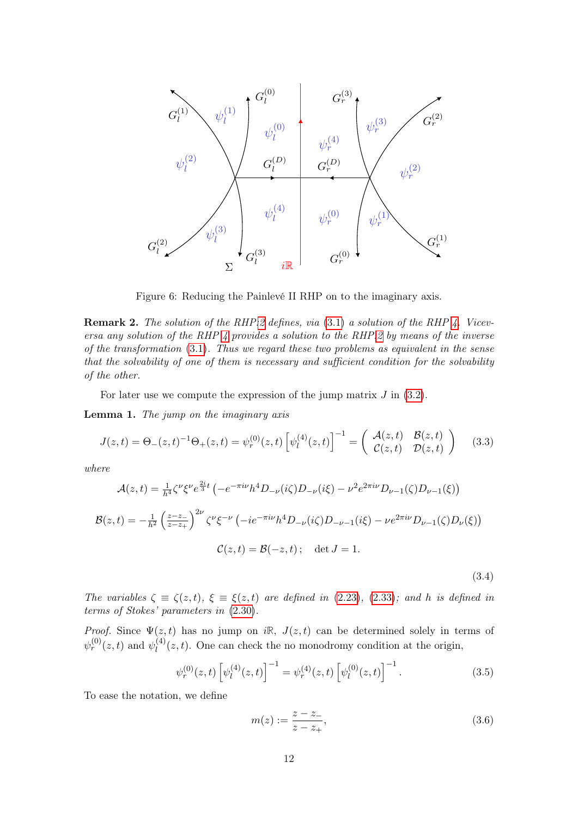

Figure 6: Reducing the Painlevé II RHP on to the imaginary axis.

Remark 2. The solution of the RHP[:2](#page-7-4) defines, via [\(3.1\)](#page-10-3) a solution of the RHP [4.](#page-10-4) Viceversa any solution of the RHP  $\ddot{A}$  provides a solution to the RHP[:2](#page-7-4) by means of the inverse of the transformation [\(3.1\)](#page-10-3). Thus we regard these two problems as equivalent in the sense that the solvability of one of them is necessary and sufficient condition for the solvability of the other.

For later use we compute the expression of the jump matrix  $J$  in  $(3.2)$ .

Lemma 1. The jump on the imaginary axis

$$
J(z,t) = \Theta_-(z,t)^{-1}\Theta_+(z,t) = \psi_r^{(0)}(z,t) \left[\psi_l^{(4)}(z,t)\right]^{-1} = \begin{pmatrix} \mathcal{A}(z,t) & \mathcal{B}(z,t) \\ \mathcal{C}(z,t) & \mathcal{D}(z,t) \end{pmatrix} (3.3)
$$

where

$$
\mathcal{A}(z,t) = \frac{1}{h^4} \zeta^{\nu} \xi^{\nu} e^{\frac{2i}{3}t} \left( -e^{-\pi i \nu} h^4 D_{-\nu}(i\zeta) D_{-\nu}(i\xi) - \nu^2 e^{2\pi i \nu} D_{\nu-1}(\zeta) D_{\nu-1}(\xi) \right)
$$

$$
\mathcal{B}(z,t) = -\frac{1}{h^2} \left( \frac{z-z}{z-z_+} \right)^{2\nu} \zeta^{\nu} \xi^{-\nu} \left( -ie^{-\pi i \nu} h^4 D_{-\nu}(i\zeta) D_{-\nu-1}(i\xi) - \nu e^{2\pi i \nu} D_{\nu-1}(\zeta) D_{\nu}(\xi) \right)
$$

$$
\mathcal{C}(z,t) = \mathcal{B}(-z,t) \, ; \quad \det J = 1.
$$

<span id="page-11-1"></span><span id="page-11-0"></span>(3.4)

The variables  $\zeta \equiv \zeta(z, t)$ ,  $\xi \equiv \xi(z, t)$  are defined in [\(2.23\)](#page-9-5), [\(2.33\)](#page-10-6); and h is defined in terms of Stokes' parameters in [\(2.30\)](#page-10-1).

*Proof.* Since  $\Psi(z, t)$  has no jump on iR,  $J(z, t)$  can be determined solely in terms of  $\psi_r^{(0)}(z,t)$  and  $\psi_l^{(4)}$  $\ell_l^{(4)}(z,t)$ . One can check the no monodromy condition at the origin,

$$
\psi_r^{(0)}(z,t) \left[ \psi_l^{(4)}(z,t) \right]^{-1} = \psi_r^{(4)}(z,t) \left[ \psi_l^{(0)}(z,t) \right]^{-1}.
$$
\n(3.5)

To ease the notation, we define

$$
m(z) := \frac{z - z_{-}}{z - z_{+}},\tag{3.6}
$$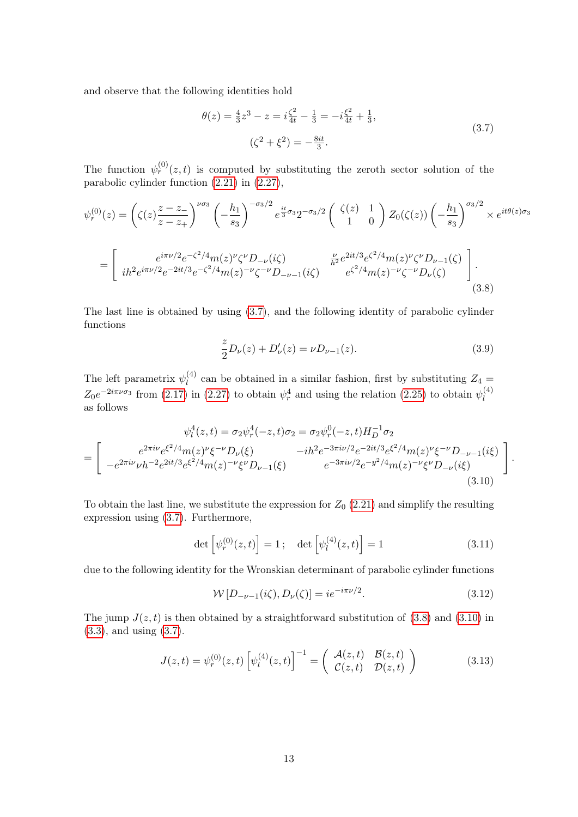and observe that the following identities hold

<span id="page-12-0"></span>
$$
\theta(z) = \frac{4}{3}z^3 - z = i\frac{\zeta^2}{4t} - \frac{1}{3} = -i\frac{\xi^2}{4t} + \frac{1}{3},
$$
  

$$
(\zeta^2 + \xi^2) = -\frac{8it}{3}.
$$
 (3.7)

The function  $\psi_r^{(0)}(z,t)$  is computed by substituting the zeroth sector solution of the parabolic cylinder function [\(2.21\)](#page-8-3) in [\(2.27\)](#page-9-6),

$$
\psi_r^{(0)}(z) = \left(\zeta(z)\frac{z-z_-}{z-z_+}\right)^{\nu\sigma_3} \left(-\frac{h_1}{s_3}\right)^{-\sigma_3/2} e^{\frac{it}{3}\sigma_3} 2^{-\sigma_3/2} \left(\begin{array}{cc} \zeta(z) & 1\\ 1 & 0 \end{array}\right) Z_0(\zeta(z)) \left(-\frac{h_1}{s_3}\right)^{\sigma_3/2} \times e^{it\theta(z)\sigma_3}
$$

$$
= \left[\begin{array}{cc} e^{i\pi\nu/2}e^{-\zeta^2/4}m(z)^{\nu}\zeta^{\nu}D_{-\nu}(i\zeta) & \frac{\nu}{h^2}e^{2it/3}e^{\zeta^2/4}m(z)^{\nu}\zeta^{\nu}D_{\nu-1}(\zeta)\\ i\hbar^2 e^{i\pi\nu/2}e^{-2it/3}e^{-\zeta^2/4}m(z)^{-\nu}\zeta^{-\nu}D_{-\nu-1}(i\zeta) & e^{\zeta^2/4}m(z)^{-\nu}\zeta^{-\nu}D_{\nu}(\zeta) \end{array}\right].
$$
\n(3.8)

The last line is obtained by using [\(3.7\)](#page-12-0), and the following identity of parabolic cylinder functions

$$
\frac{z}{2}D_{\nu}(z) + D_{\nu}'(z) = \nu D_{\nu-1}(z). \tag{3.9}
$$

<span id="page-12-2"></span><span id="page-12-1"></span>.

The left parametrix  $\psi_l^{(4)}$  $\ell_l^{(4)}$  can be obtained in a similar fashion, first by substituting  $Z_4 =$  $Z_0e^{-2i\pi\nu\sigma_3}$  from [\(2.17\)](#page-8-4) in [\(2.27\)](#page-9-6) to obtain  $\psi_r^4$  and using the relation [\(2.25\)](#page-9-3) to obtain  $\psi_l^{(4)}$ l as follows

$$
\psi_l^4(z,t) = \sigma_2 \psi_r^4(-z,t)\sigma_2 = \sigma_2 \psi_r^0(-z,t)H_D^{-1}\sigma_2
$$
  
= 
$$
\begin{bmatrix} e^{2\pi i \nu} e^{\xi^2/4} m(z)^\nu \xi^{-\nu} D_\nu(\xi) & -ih^2 e^{-3\pi i \nu/2} e^{-2it/3} e^{\xi^2/4} m(z)^\nu \xi^{-\nu} D_{-\nu-1}(i\xi) \\ -e^{2\pi i \nu} \nu h^{-2} e^{2it/3} e^{\xi^2/4} m(z)^{-\nu} \xi^{\nu} D_{\nu-1}(\xi) & e^{-3\pi i \nu/2} e^{-y^2/4} m(z)^{-\nu} \xi^{\nu} D_{-\nu}(i\xi) \end{bmatrix}
$$
(3.10)

To obtain the last line, we substitute the expression for  $Z_0$  [\(2.21\)](#page-8-3) and simplify the resulting expression using [\(3.7\)](#page-12-0). Furthermore,

$$
\det\left[\psi_r^{(0)}(z,t)\right] = 1; \quad \det\left[\psi_l^{(4)}(z,t)\right] = 1 \tag{3.11}
$$

due to the following identity for the Wronskian determinant of parabolic cylinder functions

$$
W[D_{-\nu-1}(i\zeta), D_{\nu}(\zeta)] = ie^{-i\pi\nu/2}.
$$
\n(3.12)

The jump  $J(z, t)$  is then obtained by a straightforward substitution of [\(3.8\)](#page-12-1) and [\(3.10\)](#page-12-2) in [\(3.3\)](#page-11-0), and using [\(3.7\)](#page-12-0).

$$
J(z,t) = \psi_r^{(0)}(z,t) \left[ \psi_l^{(4)}(z,t) \right]^{-1} = \begin{pmatrix} \mathcal{A}(z,t) & \mathcal{B}(z,t) \\ \mathcal{C}(z,t) & \mathcal{D}(z,t) \end{pmatrix}
$$
(3.13)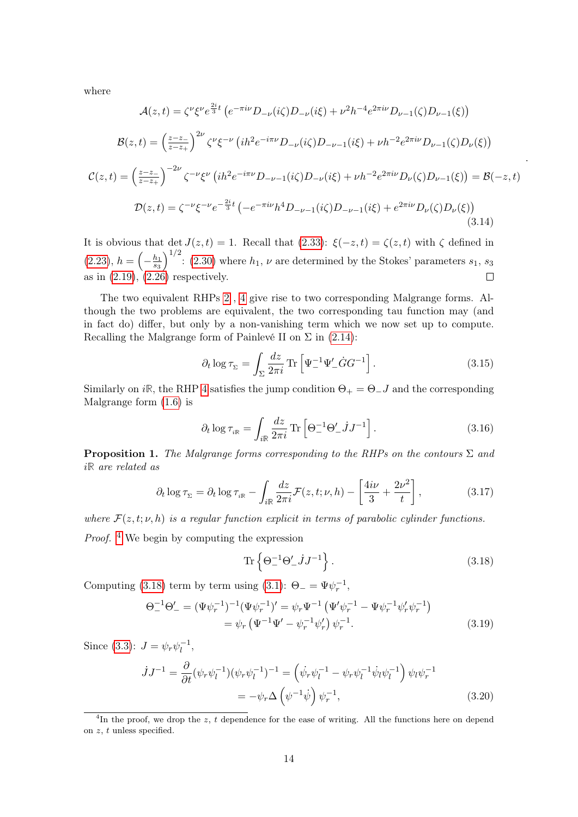where

$$
\mathcal{A}(z,t) = \zeta^{\nu} \xi^{\nu} e^{\frac{2i}{3}t} \left( e^{-\pi i \nu} D_{-\nu}(i\zeta) D_{-\nu}(i\xi) + \nu^2 h^{-4} e^{2\pi i \nu} D_{\nu-1}(\zeta) D_{\nu-1}(\xi) \right)
$$

$$
\mathcal{B}(z,t) = \left( \frac{z-z}{z-z_{+}} \right)^{2\nu} \zeta^{\nu} \xi^{-\nu} \left( i h^{2} e^{-i\pi \nu} D_{-\nu}(i\zeta) D_{-\nu-1}(i\xi) + \nu h^{-2} e^{2\pi i \nu} D_{\nu-1}(\zeta) D_{\nu}(\xi) \right)
$$

$$
\mathcal{C}(z,t) = \left( \frac{z-z_{-}}{z-z_{+}} \right)^{-2\nu} \zeta^{-\nu} \xi^{\nu} \left( i h^{2} e^{-i\pi \nu} D_{-\nu-1}(i\zeta) D_{-\nu}(i\xi) + \nu h^{-2} e^{2\pi i \nu} D_{\nu}(\zeta) D_{\nu-1}(\xi) \right) = \mathcal{B}(-z,t)
$$

$$
\mathcal{D}(z,t) = \zeta^{-\nu} \xi^{-\nu} e^{-\frac{2i}{3}t} \left( -e^{-\pi i \nu} h^{4} D_{-\nu-1}(i\zeta) D_{-\nu-1}(i\xi) + e^{2\pi i \nu} D_{\nu}(\zeta) D_{\nu}(\xi) \right)
$$
(3.14)

It is obvious that det  $J(z,t) = 1$ . Recall that [\(2.33\)](#page-10-6):  $\xi(-z,t) = \zeta(z,t)$  with  $\zeta$  defined in  $(2.23), h = ($  $(2.23), h = ($  $\int_{0}^{1/2}$ : [\(2.30\)](#page-10-1) where  $h_1, \nu$  are determined by the Stokes' parameters  $s_1, s_3$  $-\frac{h_1}{s_3}$ s3 as in  $(2.19)$ ,  $(2.26)$  respectively.  $\Box$ 

The two equivalent RHPs [2](#page-7-4) , [4](#page-10-4) give rise to two corresponding Malgrange forms. Although the two problems are equivalent, the two corresponding tau function may (and in fact do) differ, but only by a non-vanishing term which we now set up to compute. Recalling the Malgrange form of Painlevé II on  $\Sigma$  in [\(2.14\)](#page-7-3):

<span id="page-13-6"></span>
$$
\partial_t \log \tau_{\Sigma} = \int_{\Sigma} \frac{dz}{2\pi i} \operatorname{Tr} \left[ \Psi_-^{-1} \Psi_-' \dot{G} G^{-1} \right]. \tag{3.15}
$$

.

Similarly on i<sub>R</sub>, the RHP [4](#page-10-4) satisfies the jump condition  $\Theta_+ = \Theta_- J$  and the corresponding Malgrange form [\(1.6\)](#page-1-4) is

<span id="page-13-4"></span>
$$
\partial_t \log \tau_{i\mathbb{R}} = \int_{i\mathbb{R}} \frac{dz}{2\pi i} \operatorname{Tr} \left[ \Theta_-^{-1} \Theta_-' j J^{-1} \right]. \tag{3.16}
$$

<span id="page-13-5"></span>**Proposition 1.** The Malgrange forms corresponding to the RHPs on the contours  $\Sigma$  and i**R** are related as

$$
\partial_t \log \tau_{\Sigma} = \partial_t \log \tau_{i\mathbb{R}} - \int_{i\mathbb{R}} \frac{dz}{2\pi i} \mathcal{F}(z, t; \nu, h) - \left[ \frac{4i\nu}{3} + \frac{2\nu^2}{t} \right],\tag{3.17}
$$

where  $\mathcal{F}(z, t; \nu, h)$  is a regular function explicit in terms of parabolic cylinder functions. Proof. [4](#page-13-0) We begin by computing the expression

<span id="page-13-3"></span><span id="page-13-2"></span><span id="page-13-1"></span>
$$
\operatorname{Tr}\left\{\Theta_{-}^{-1}\Theta_{-}'jJ^{-1}\right\}.\tag{3.18}
$$

Computing [\(3.18\)](#page-13-1) term by term using [\(3.1\)](#page-10-3):  $\Theta_{-} = \Psi \psi_{r}^{-1}$ ,

$$
\Theta_{-}^{-1}\Theta_{-}' = (\Psi\psi_{r}^{-1})^{-1}(\Psi\psi_{r}^{-1})' = \psi_{r}\Psi^{-1}(\Psi'\psi_{r}^{-1} - \Psi\psi_{r}^{-1}\psi'_{r}\psi_{r}^{-1})
$$

$$
= \psi_{r}(\Psi^{-1}\Psi' - \psi_{r}^{-1}\psi'_{r})\psi_{r}^{-1}.
$$
(3.19)

Since [\(3.3\)](#page-11-0):  $J = \psi_r \psi_l^{-1}$  $\frac{-1}{l}$ ,

$$
\dot{J}J^{-1} = \frac{\partial}{\partial t} (\psi_r \psi_l^{-1}) (\psi_r \psi_l^{-1})^{-1} = (\dot{\psi}_r \psi_l^{-1} - \psi_r \psi_l^{-1} \dot{\psi}_l \psi_l^{-1}) \psi_l \psi_r^{-1}
$$

$$
= -\psi_r \Delta \left( \psi^{-1} \dot{\psi} \right) \psi_r^{-1}, \tag{3.20}
$$

<span id="page-13-0"></span><sup>&</sup>lt;sup>4</sup>In the proof, we drop the z, t dependence for the ease of writing. All the functions here on depend on  $z$ ,  $t$  unless specified.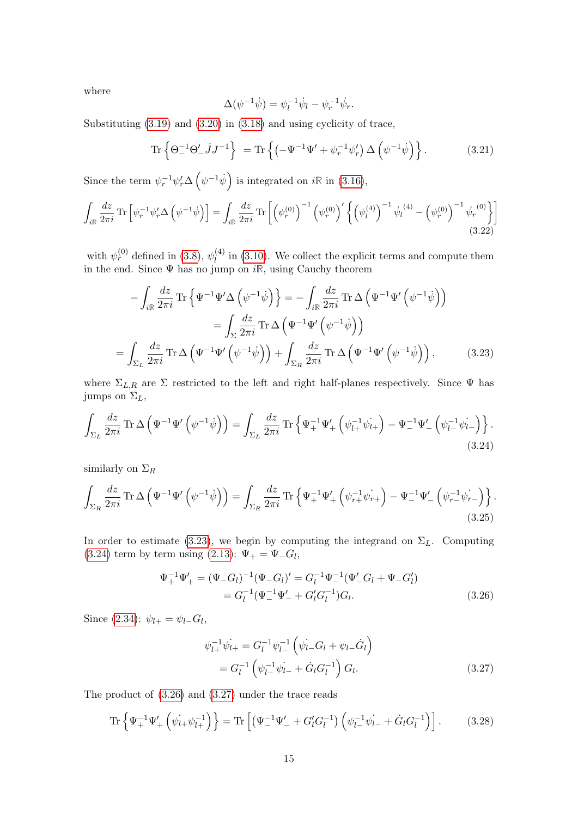where

<span id="page-14-0"></span>
$$
\Delta(\psi^{-1}\dot{\psi}) = \psi_l^{-1}\dot{\psi}_l - \psi_r^{-1}\dot{\psi}_r.
$$

Substituting [\(3.19\)](#page-13-2) and [\(3.20\)](#page-13-3) in [\(3.18\)](#page-13-1) and using cyclicity of trace,

$$
\operatorname{Tr}\left\{\Theta_-^{-1}\Theta_-'jJ^{-1}\right\} = \operatorname{Tr}\left\{\left(-\Psi^{-1}\Psi_+ + \psi_r^{-1}\psi_r'\right)\Delta\left(\psi^{-1}\dot{\psi}\right)\right\}.
$$
 (3.21)

Since the term  $\psi_r^{-1} \psi'_r \Delta \left( \psi^{-1} \dot{\psi} \right)$  is integrated on  $i\mathbb{R}$  in [\(3.16\)](#page-13-4),

$$
\int_{i\mathbb{R}} \frac{dz}{2\pi i} \, \text{Tr} \left[ \psi_r^{-1} \psi'_r \Delta \left( \psi^{-1} \dot{\psi} \right) \right] = \int_{i\mathbb{R}} \frac{dz}{2\pi i} \, \text{Tr} \left[ \left( \psi_r^{(0)} \right)^{-1} \left( \psi_r^{(0)} \right)^{\prime} \left\{ \left( \psi_l^{(4)} \right)^{-1} \dot{\psi}_l^{(4)} - \left( \psi_r^{(0)} \right)^{-1} \dot{\psi}_r^{(0)} \right\} \right] \tag{3.22}
$$

with  $\psi_r^{(0)}$  defined in [\(3.8\)](#page-12-1),  $\psi_l^{(4)}$  $\ell_l^{(4)}$  in [\(3.10\)](#page-12-2). We collect the explicit terms and compute them in the end. Since Ψ has no jump on i**R**, using Cauchy theorem

$$
-\int_{i\mathbb{R}}\frac{dz}{2\pi i}\operatorname{Tr}\left\{\Psi^{-1}\Psi'\Delta\left(\psi^{-1}\dot{\psi}\right)\right\} = -\int_{i\mathbb{R}}\frac{dz}{2\pi i}\operatorname{Tr}\Delta\left(\Psi^{-1}\Psi'\left(\psi^{-1}\dot{\psi}\right)\right)
$$

$$
=\int_{\Sigma}\frac{dz}{2\pi i}\operatorname{Tr}\Delta\left(\Psi^{-1}\Psi'\left(\psi^{-1}\dot{\psi}\right)\right)
$$

$$
=\int_{\Sigma_{L}}\frac{dz}{2\pi i}\operatorname{Tr}\Delta\left(\Psi^{-1}\Psi'\left(\psi^{-1}\dot{\psi}\right)\right)+\int_{\Sigma_{R}}\frac{dz}{2\pi i}\operatorname{Tr}\Delta\left(\Psi^{-1}\Psi'\left(\psi^{-1}\dot{\psi}\right)\right),\tag{3.23}
$$

where  $\Sigma_{L,R}$  are  $\Sigma$  restricted to the left and right half-planes respectively. Since  $\Psi$  has jumps on  $\Sigma_L$ ,

$$
\int_{\Sigma_L} \frac{dz}{2\pi i} \operatorname{Tr} \Delta \left( \Psi^{-1} \Psi' \left( \psi^{-1} \dot{\psi} \right) \right) = \int_{\Sigma_L} \frac{dz}{2\pi i} \operatorname{Tr} \left\{ \Psi_+^{-1} \Psi_+' \left( \psi_{l+}^{-1} \dot{\psi}_{l+} \right) - \Psi_-^{-1} \Psi_-' \left( \psi_{l-}^{-1} \dot{\psi}_{l-} \right) \right\}.
$$
\n(3.24)

similarly on  $\Sigma_R$ 

$$
\int_{\Sigma_R} \frac{dz}{2\pi i} \operatorname{Tr} \Delta \left( \Psi^{-1} \Psi' \left( \psi^{-1} \dot{\psi} \right) \right) = \int_{\Sigma_R} \frac{dz}{2\pi i} \operatorname{Tr} \left\{ \Psi_+^{-1} \Psi_+' \left( \psi_{r+}^{-1} \psi_{r+} \right) - \Psi_-^{-1} \Psi_-' \left( \psi_{r-}^{-1} \psi_{r-} \right) \right\}.
$$
\n(3.25)

In order to estimate [\(3.23\)](#page-14-0), we begin by computing the integrand on  $\Sigma_L$ . Computing [\(3.24\)](#page-14-1) term by term using [\(2.13\)](#page-7-2):  $\Psi_+ = \Psi_- G_l$ ,

$$
\Psi_{+}^{-1}\Psi_{+}' = (\Psi_{-}G_{l})^{-1}(\Psi_{-}G_{l})' = G_{l}^{-1}\Psi_{-}^{-1}(\Psi'_{-}G_{l} + \Psi_{-}G'_{l})
$$
  
= 
$$
G_{l}^{-1}(\Psi_{-}^{-1}\Psi'_{-} + G'_{l}G_{l}^{-1})G_{l}. \tag{3.26}
$$

Since [\(2.34\)](#page-10-7):  $\psi_{l+} = \psi_{l-} G_l$ ,

<span id="page-14-4"></span><span id="page-14-3"></span><span id="page-14-2"></span><span id="page-14-1"></span>
$$
\psi_{l+}^{-1}\psi_{l+} = G_l^{-1}\psi_{l-}^{-1}\left(\psi_{l-} - G_l + \psi_{l-} - \dot{G}_l\right)
$$
  
= 
$$
G_l^{-1}\left(\psi_{l-}^{-1}\psi_{l-} + \dot{G}_l G_l^{-1}\right)G_l.
$$
 (3.27)

The product of [\(3.26\)](#page-14-2) and [\(3.27\)](#page-14-3) under the trace reads

$$
\operatorname{Tr}\left\{\Psi_{+}^{-1}\Psi_{+}'\left(\dot{\psi}_{l+}\dot{\psi}_{l+}^{-1}\right)\right\} = \operatorname{Tr}\left[\left(\Psi_{-}^{-1}\Psi_{-}' + G_{l}'G_{l}^{-1}\right)\left(\psi_{l-}^{-1}\dot{\psi}_{l-} + \dot{G}_{l}G_{l}^{-1}\right)\right].\tag{3.28}
$$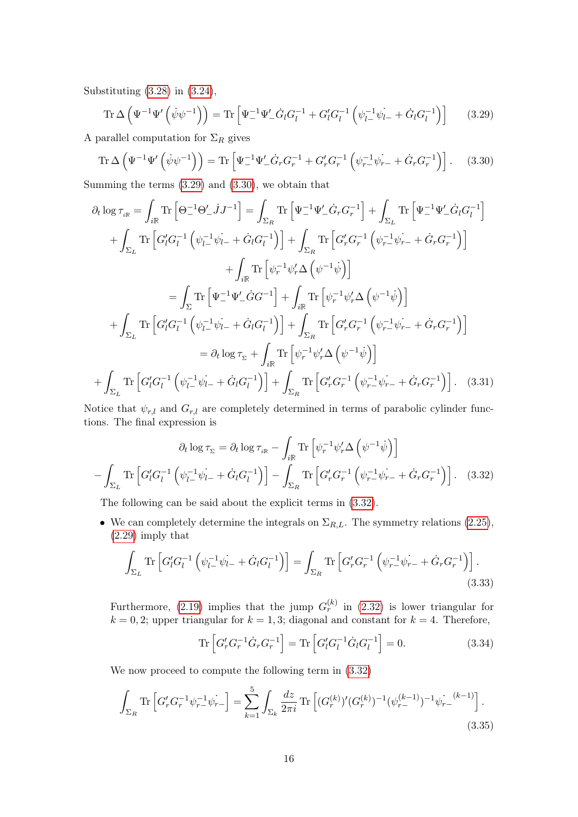Substituting [\(3.28\)](#page-14-4) in [\(3.24\)](#page-14-1),

<span id="page-15-1"></span><span id="page-15-0"></span>
$$
\operatorname{Tr}\Delta\left(\Psi^{-1}\Psi'\left(\dot{\psi}\psi^{-1}\right)\right) = \operatorname{Tr}\left[\Psi_{-}^{-1}\Psi'_{-}\dot{G}_lG_l^{-1} + G_l'G_l^{-1}\left(\psi_{l-}^{-1}\dot{\psi}_{l-} + \dot{G}_lG_l^{-1}\right)\right]
$$
(3.29)

A parallel computation for  $\Sigma_R$  gives

$$
\operatorname{Tr}\Delta\left(\Psi^{-1}\Psi'\left(\dot{\psi}\psi^{-1}\right)\right) = \operatorname{Tr}\left[\Psi_{-}^{-1}\Psi'_{-}\dot{G}_{r}G_{r}^{-1} + G'_{r}G_{r}^{-1}\left(\psi_{r-}^{-1}\dot{\psi}_{r-} + \dot{G}_{r}G_{r}^{-1}\right)\right].\tag{3.30}
$$

Summing the terms [\(3.29\)](#page-15-0) and [\(3.30\)](#page-15-1), we obtain that

$$
\partial_t \log \tau_{i\mathbb{R}} = \int_{i\mathbb{R}} \text{Tr} \left[ \Theta_-^{-1} \Theta_-' j J^{-1} \right] = \int_{\Sigma_R} \text{Tr} \left[ \Psi_-^{-1} \Psi_-' \dot{G}_r G_r^{-1} \right] + \int_{\Sigma_L} \text{Tr} \left[ \Psi_-^{-1} \Psi_-' \dot{G}_l G_l^{-1} \right] \n+ \int_{\Sigma_L} \text{Tr} \left[ G'_l G_l^{-1} \left( \psi_{l-}^{-1} \psi_{l-} + \dot{G}_l G_l^{-1} \right) \right] + \int_{\Sigma_R} \text{Tr} \left[ G'_r G_r^{-1} \left( \psi_{r-}^{-1} \psi_{r-} + \dot{G}_r G_r^{-1} \right) \right] \n+ \int_{i\mathbb{R}} \text{Tr} \left[ \psi_r^{-1} \psi'_r \Delta \left( \psi^{-1} \psi \right) \right] \n= \int_{\Sigma} \text{Tr} \left[ \Psi_-^{-1} \Psi_-' \dot{G} G^{-1} \right] + \int_{i\mathbb{R}} \text{Tr} \left[ \psi_r^{-1} \psi'_r \Delta \left( \psi^{-1} \psi \right) \right] \n+ \int_{\Sigma_L} \text{Tr} \left[ G'_l G_l^{-1} \left( \psi_{l-}^{-1} \psi_{l-} + \dot{G}_l G_l^{-1} \right) \right] + \int_{\Sigma_R} \text{Tr} \left[ G'_r G_r^{-1} \left( \psi_{r-}^{-1} \psi_{r-} + \dot{G}_r G_r^{-1} \right) \right] \n= \partial_t \log \tau_{\Sigma} + \int_{i\mathbb{R}} \text{Tr} \left[ \psi_r^{-1} \psi'_r \Delta \left( \psi^{-1} \psi \right) \right] \n+ \int_{\Sigma_L} \text{Tr} \left[ G'_l G_l^{-1} \left( \psi_{l-}^{-1} \psi_{l-} + \dot{G}_l G_l^{-1} \right) \right] + \int_{\Sigma_R} \text{Tr} \left[ G'_r G_r^{-1} \left( \psi_{r-}^{-1} \psi_{r-} + \dot{G}_r G_r^{-1} \right) \right]. \quad (3.31)
$$

Notice that  $\psi_{r,l}$  and  $G_{r,l}$  are completely determined in terms of parabolic cylinder functions. The final expression is

$$
\partial_t \log \tau_{\Sigma} = \partial_t \log \tau_{i\mathbb{R}} - \int_{i\mathbb{R}} \text{Tr} \left[ \psi_r^{-1} \psi'_r \Delta \left( \psi^{-1} \dot{\psi} \right) \right]
$$

$$
- \int_{\Sigma_L} \text{Tr} \left[ G'_l G_l^{-1} \left( \psi_{l-}^{-1} \psi_{l-} + \dot{G}_l G_l^{-1} \right) \right] - \int_{\Sigma_R} \text{Tr} \left[ G'_r G_r^{-1} \left( \psi_{r-}^{-1} \psi_{r-} + \dot{G}_r G_r^{-1} \right) \right]. \quad (3.32)
$$

The following can be said about the explicit terms in [\(3.32\)](#page-15-2).

• We can completely determine the integrals on  $\Sigma_{R,L}$ . The symmetry relations [\(2.25\)](#page-9-3), [\(2.29\)](#page-9-7) imply that

$$
\int_{\Sigma_L} \text{Tr} \left[ G'_l G_l^{-1} \left( \psi_{l-}^{-1} \psi_{l-} + \dot{G}_l G_l^{-1} \right) \right] = \int_{\Sigma_R} \text{Tr} \left[ G'_r G_r^{-1} \left( \psi_{r-}^{-1} \psi_{r-} + \dot{G}_r G_r^{-1} \right) \right]. \tag{3.33}
$$

Furthermore, [\(2.19\)](#page-8-1) implies that the jump  $G_r^{(k)}$  in [\(2.32\)](#page-10-8) is lower triangular for  $k = 0, 2$ ; upper triangular for  $k = 1, 3$ ; diagonal and constant for  $k = 4$ . Therefore,

<span id="page-15-3"></span><span id="page-15-2"></span>
$$
\text{Tr}\left[G'_r G_r^{-1} \dot{G}_r G_r^{-1}\right] = \text{Tr}\left[G'_l G_l^{-1} \dot{G}_l G_l^{-1}\right] = 0. \tag{3.34}
$$

We now proceed to compute the following term in [\(3.32\)](#page-15-2)

$$
\int_{\Sigma_R} \text{Tr} \left[ G'_r G_r^{-1} \psi_{r-}^{-1} \psi_{r-} \right] = \sum_{k=1}^5 \int_{\Sigma_k} \frac{dz}{2\pi i} \, \text{Tr} \left[ (G_r^{(k)})'(G_r^{(k)})^{-1} (\psi_{r-}^{(k-1)})^{-1} \psi_{r-}^{(k-1)} \right]. \tag{3.35}
$$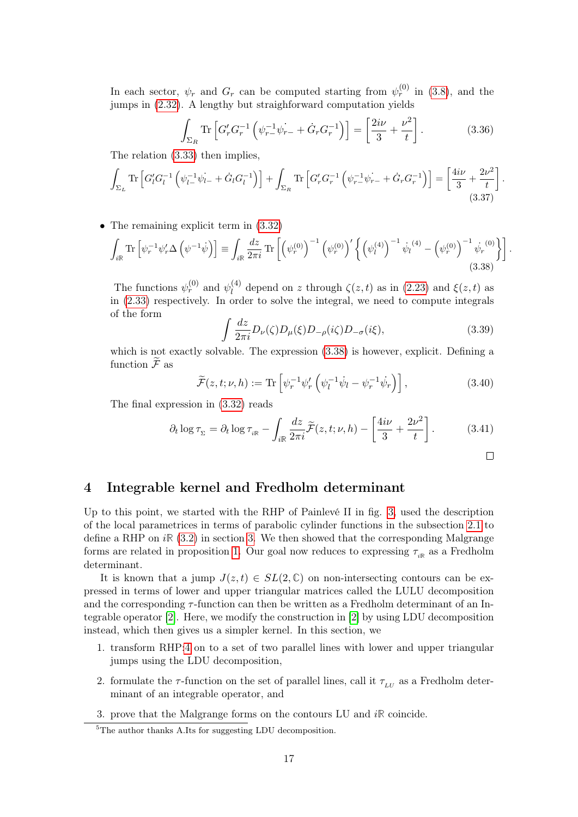In each sector,  $\psi_r$  and  $G_r$  can be computed starting from  $\psi_r^{(0)}$  in [\(3.8\)](#page-12-1), and the jumps in [\(2.32\)](#page-10-8). A lengthy but straighforward computation yields

$$
\int_{\Sigma_R} \text{Tr} \left[ G'_r G_r^{-1} \left( \psi_{r-}^{-1} \psi_{r-} + \dot{G}_r G_r^{-1} \right) \right] = \left[ \frac{2i\nu}{3} + \frac{\nu^2}{t} \right]. \tag{3.36}
$$

The relation [\(3.33\)](#page-15-3) then implies,

$$
\int_{\Sigma_L} \text{Tr} \left[ G'_l G_l^{-1} \left( \psi_{l-}^{-1} \psi_{l-} + \dot{G}_l G_l^{-1} \right) \right] + \int_{\Sigma_R} \text{Tr} \left[ G'_r G_r^{-1} \left( \psi_{r-}^{-1} \psi_{r-} + \dot{G}_r G_r^{-1} \right) \right] = \left[ \frac{4i\nu}{3} + \frac{2\nu^2}{t} \right].
$$
\n(3.37)

• The remaining explicit term in  $(3.32)$ 

$$
\int_{i\mathbb{R}} \text{Tr}\left[\psi_r^{-1}\psi'_r \Delta\left(\psi^{-1}\dot{\psi}\right)\right] \equiv \int_{i\mathbb{R}} \frac{dz}{2\pi i} \text{Tr}\left[\left(\psi_r^{(0)}\right)^{-1} \left(\psi_r^{(0)}\right)'\left\{\left(\psi_l^{(4)}\right)^{-1}\dot{\psi}_l^{(4)} - \left(\psi_r^{(0)}\right)^{-1}\dot{\psi}_r^{(0)}\right\}\right].
$$
\n(3.38)

The functions  $\psi_r^{(0)}$  and  $\psi_l^{(4)}$  $\zeta^{(4)}$  depend on z through  $\zeta(z,t)$  as in [\(2.23\)](#page-9-5) and  $\xi(z,t)$  as in [\(2.33\)](#page-10-6) respectively. In order to solve the integral, we need to compute integrals of the form

$$
\int \frac{dz}{2\pi i} D_{\nu}(\zeta) D_{\mu}(\xi) D_{-\rho}(i\zeta) D_{-\sigma}(i\xi), \tag{3.39}
$$

which is not exactly solvable. The expression  $(3.38)$  is however, explicit. Defining a function  $\widetilde{\mathcal{F}}$  as

$$
\widetilde{\mathcal{F}}(z,t;\nu,h) := \text{Tr}\left[\psi_r^{-1}\psi'_r\left(\psi_l^{-1}\dot{\psi}_l - \psi_r^{-1}\dot{\psi}_r\right)\right],\tag{3.40}
$$

The final expression in [\(3.32\)](#page-15-2) reads

$$
\partial_t \log \tau_{\Sigma} = \partial_t \log \tau_{_{i\mathbb{R}}} - \int_{i\mathbb{R}} \frac{dz}{2\pi i} \widetilde{\mathcal{F}}(z, t; \nu, h) - \left[ \frac{4i\nu}{3} + \frac{2\nu^2}{t} \right]. \tag{3.41}
$$

<span id="page-16-3"></span><span id="page-16-2"></span><span id="page-16-1"></span>
$$
\qquad \qquad \Box
$$

## <span id="page-16-0"></span>4 Integrable kernel and Fredholm determinant

Up to this point, we started with the RHP of Painlevé II in fig. [3,](#page-6-1) used the description of the local parametrices in terms of parabolic cylinder functions in the subsection [2.1](#page-7-0) to define a RHP on  $i\mathbb{R}$  [\(3.2\)](#page-10-5) in section [3.](#page-10-0) We then showed that the corresponding Malgrange forms are related in proposition [1.](#page-13-5) Our goal now reduces to expressing  $\tau_{i\mathbb{R}}$  as a Fredholm determinant.

It is known that a jump  $J(z, t) \in SL(2, \mathbb{C})$  on non-intersecting contours can be expressed in terms of lower and upper triangular matrices called the LULU decomposition and the corresponding  $\tau$ -function can then be written as a Fredholm determinant of an Integrable operator [\[2\]](#page-26-3). Here, we modify the construction in [\[2\]](#page-26-3) by using LDU decomposition instead, which then gives us a simpler kernel. In this section, we

- 1. transform RHP[:4](#page-10-4) on to a set of two parallel lines with lower and upper triangular jumps using the LDU decomposition,
- 2. formulate the  $\tau$ -function on the set of parallel lines, call it  $\tau_{LU}$  as a Fredholm determinant of an integrable operator, and

3. prove that the Malgrange forms on the contours LU and i**R** coincide.

 ${}^{5}$ The author thanks A.Its for suggesting LDU decomposition.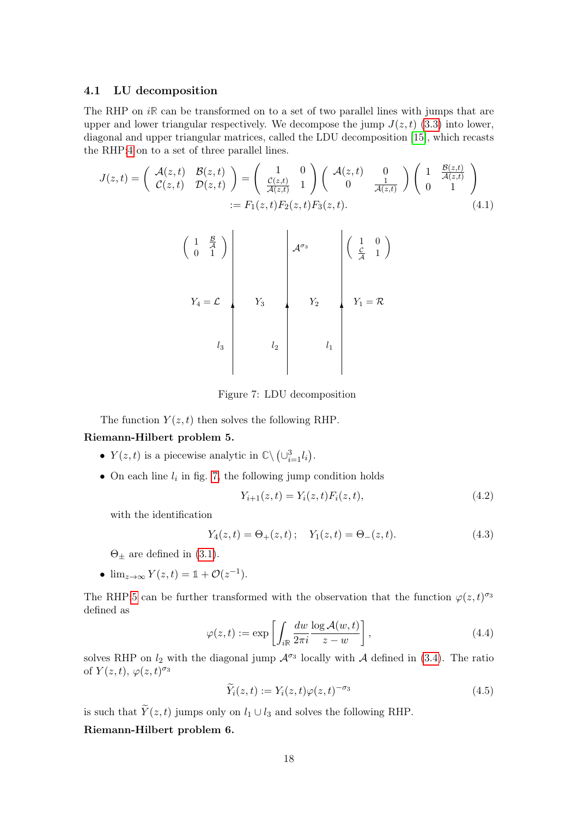#### <span id="page-17-0"></span>4.1 LU decomposition

The RHP on i<sub>R</sub> can be transformed on to a set of two parallel lines with jumps that are upper and lower triangular respectively. We decompose the jump  $J(z, t)$  [\(3.3\)](#page-11-0) into lower, diagonal and upper triangular matrices, called the LDU decomposition [\[15\]](#page-26-7), which recasts the RHP[:4](#page-10-4) on to a set of three parallel lines.

$$
J(z,t) = \begin{pmatrix} \mathcal{A}(z,t) & \mathcal{B}(z,t) \\ \mathcal{C}(z,t) & \mathcal{D}(z,t) \end{pmatrix} = \begin{pmatrix} 1 & 0 \\ \frac{\mathcal{C}(z,t)}{\mathcal{A}(z,t)} & 1 \end{pmatrix} \begin{pmatrix} \mathcal{A}(z,t) & 0 \\ 0 & \frac{1}{\mathcal{A}(z,t)} \end{pmatrix} \begin{pmatrix} 1 & \frac{\mathcal{B}(z,t)}{\mathcal{A}(z,t)} \\ 0 & 1 \end{pmatrix}
$$
  
:=  $F_1(z,t)F_2(z,t)F_3(z,t)$ . (4.1)

<span id="page-17-6"></span>
$$
\begin{pmatrix}\n1 & \frac{B}{A} \\
0 & 1\n\end{pmatrix}
$$
\n
$$
Y_4 = \mathcal{L}
$$
\n
$$
V_3
$$
\n
$$
V_2
$$
\n
$$
V_1 = \mathcal{R}
$$
\n
$$
V_3
$$
\n
$$
V_2
$$
\n
$$
V_1 = \mathcal{R}
$$

<span id="page-17-2"></span><span id="page-17-1"></span>Figure 7: LDU decomposition

The function  $Y(z, t)$  then solves the following RHP.

#### Riemann-Hilbert problem 5.

- $Y(z, t)$  is a piecewise analytic in  $\mathbb{C}\setminus (\cup_{i=1}^{3} l_i)$ .
- On each line  $l_i$  in fig. [7,](#page-17-1) the following jump condition holds

<span id="page-17-7"></span><span id="page-17-5"></span>
$$
Y_{i+1}(z,t) = Y_i(z,t)F_i(z,t),
$$
\n(4.2)

with the identification

$$
Y_4(z,t) = \Theta_+(z,t); \quad Y_1(z,t) = \Theta_-(z,t). \tag{4.3}
$$

 $\Theta_+$  are defined in [\(3.1\)](#page-10-3).

•  $\lim_{z \to \infty} Y(z, t) = \mathbb{1} + \mathcal{O}(z^{-1}).$ 

The RHP[:5](#page-17-2) can be further transformed with the observation that the function  $\varphi(z,t)^{\sigma_3}$ defined as

$$
\varphi(z,t) := \exp\left[\int_{i\mathbb{R}} \frac{dw}{2\pi i} \frac{\log \mathcal{A}(w,t)}{z-w}\right],\tag{4.4}
$$

solves RHP on  $l_2$  with the diagonal jump  $\mathcal{A}^{\sigma_3}$  locally with  $\mathcal A$  defined in [\(3.4\)](#page-11-1). The ratio of  $Y(z,t)$ ,  $\varphi(z,t)^{\sigma_3}$ 

<span id="page-17-8"></span><span id="page-17-4"></span><span id="page-17-3"></span>
$$
\widetilde{Y}_i(z,t) := Y_i(z,t)\varphi(z,t)^{-\sigma_3} \tag{4.5}
$$

is such that  $\widetilde{Y}(z, t)$  jumps only on  $l_1 \cup l_3$  and solves the following RHP.

Riemann-Hilbert problem 6.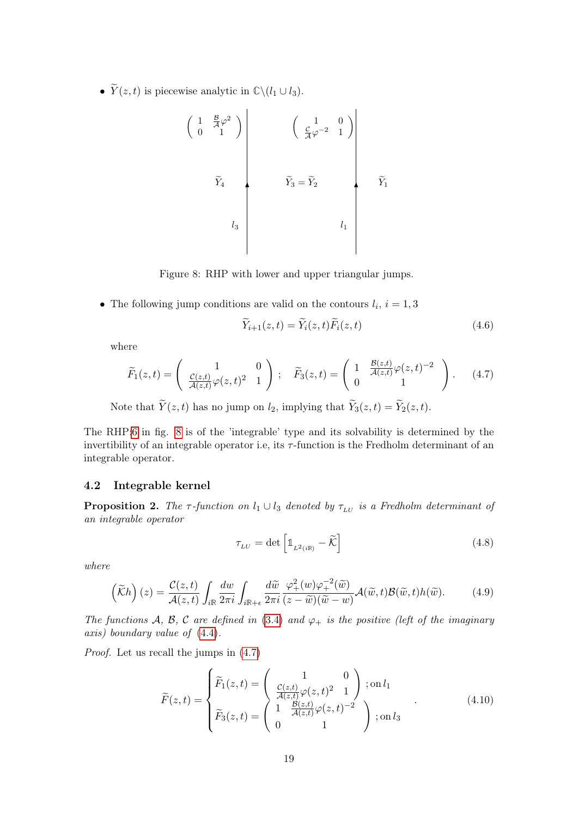•  $\widetilde{Y}(z, t)$  is piecewise analytic in  $\mathbb{C}\backslash (l_1 \cup l_3)$ .

$$
\begin{pmatrix}\n1 & \frac{\mathcal{B}}{\mathcal{A}} \varphi^2 \\
0 & 1\n\end{pmatrix}\n\qquad\n\begin{pmatrix}\n1 & 0 \\
\frac{\mathcal{C}}{\mathcal{A}} \varphi^{-2} & 1\n\end{pmatrix}
$$
\n
$$
\tilde{Y}_4
$$
\n
$$
l_3
$$
\n
$$
l_4
$$
\n
$$
l_1
$$
\n
$$
l_2
$$
\n
$$
l_3
$$

Figure 8: RHP with lower and upper triangular jumps.

• The following jump conditions are valid on the contours  $l_i$ ,  $i = 1, 3$ 

<span id="page-18-3"></span><span id="page-18-2"></span><span id="page-18-1"></span>
$$
\widetilde{Y}_{i+1}(z,t) = \widetilde{Y}_i(z,t)\widetilde{F}_i(z,t)
$$
\n(4.6)

where

$$
\widetilde{F}_1(z,t) = \begin{pmatrix} 1 & 0 \\ \frac{\mathcal{C}(z,t)}{\mathcal{A}(z,t)} \varphi(z,t)^2 & 1 \end{pmatrix}; \quad \widetilde{F}_3(z,t) = \begin{pmatrix} 1 & \frac{\mathcal{B}(z,t)}{\mathcal{A}(z,t)} \varphi(z,t)^{-2} \\ 0 & 1 \end{pmatrix}.
$$
 (4.7)

Note that  $\widetilde{Y}(z, t)$  has no jump on  $l_2$ , implying that  $\widetilde{Y}_3(z, t) = \widetilde{Y}_2(z, t)$ .

The RHP[:6](#page-17-3) in fig. [8](#page-18-1) is of the 'integrable' type and its solvability is determined by the invertibility of an integrable operator i.e, its  $\tau$ -function is the Fredholm determinant of an integrable operator.

#### <span id="page-18-0"></span>4.2 Integrable kernel

<span id="page-18-5"></span>**Proposition 2.** The τ-function on  $l_1 \cup l_3$  denoted by  $\tau_{\text{LU}}$  is a Fredholm determinant of an integrable operator

<span id="page-18-4"></span>
$$
\tau_{LU} = \det \left[ \mathbb{1}_{L^2(i\mathbb{R})} - \widetilde{\mathcal{K}} \right]
$$
\n(4.8)

where

$$
\left(\widetilde{\mathcal{K}}h\right)(z) = \frac{\mathcal{C}(z,t)}{\mathcal{A}(z,t)} \int_{i\mathbb{R}} \frac{dw}{2\pi i} \int_{i\mathbb{R}+\epsilon} \frac{d\widetilde{w}}{2\pi i} \frac{\varphi_+^2(w)\varphi_+^{-2}(\widetilde{w})}{(z-\widetilde{w})(\widetilde{w}-w)} \mathcal{A}(\widetilde{w},t) \mathcal{B}(\widetilde{w},t) h(\widetilde{w}).\tag{4.9}
$$

The functions A, B, C are defined in [\(3.4\)](#page-11-1) and  $\varphi_{+}$  is the positive (left of the imaginary axis) boundary value of [\(4.4\)](#page-17-4).

Proof. Let us recall the jumps in [\(4.7\)](#page-18-2)

$$
\widetilde{F}(z,t) = \begin{cases}\n\widetilde{F}_1(z,t) = \begin{pmatrix}\n1 & 0 \\
\frac{\mathcal{C}(z,t)}{\mathcal{A}(z,t)}\varphi(z,t)^2 & 1 \\
\widetilde{F}_3(z,t) = \begin{pmatrix}\n1 & \frac{\mathcal{B}(z,t)}{\mathcal{A}(z,t)}\varphi(z,t)^{-2} \\
0 & 1\n\end{pmatrix}; \text{on } l_3\n\end{cases}
$$
\n(4.10)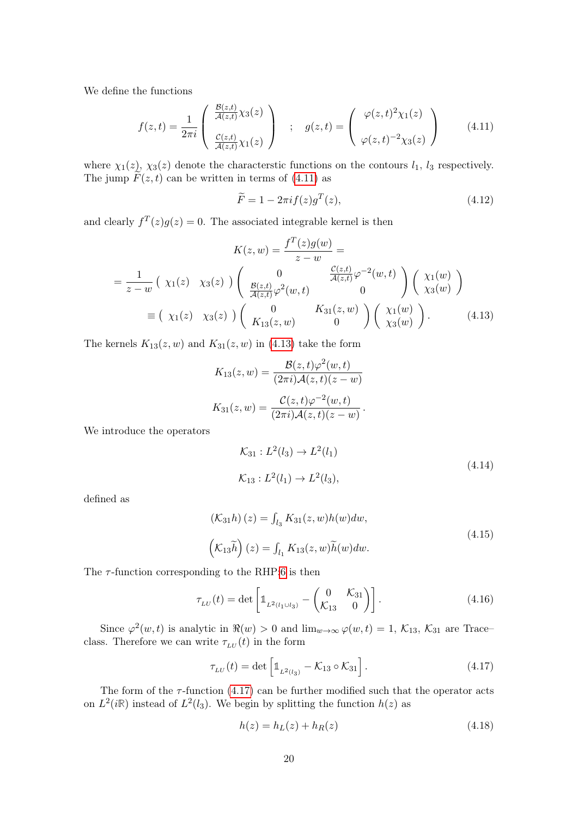We define the functions

$$
f(z,t) = \frac{1}{2\pi i} \begin{pmatrix} \frac{\mathcal{B}(z,t)}{\mathcal{A}(z,t)} \chi_3(z) \\ \frac{\mathcal{C}(z,t)}{\mathcal{A}(z,t)} \chi_1(z) \end{pmatrix} ; \quad g(z,t) = \begin{pmatrix} \varphi(z,t)^2 \chi_1(z) \\ \varphi(z,t)^{-2} \chi_3(z) \end{pmatrix}
$$
(4.11)

where  $\chi_1(z)$ ,  $\chi_3(z)$  denote the characterstic functions on the contours  $l_1$ ,  $l_3$  respectively. The jump  $\widetilde{F}(z, t)$  can be written in terms of [\(4.11\)](#page-19-0) as

<span id="page-19-1"></span><span id="page-19-0"></span>
$$
\widetilde{F} = 1 - 2\pi i f(z)g^{T}(z),\tag{4.12}
$$

and clearly  $f^T(z)g(z) = 0$ . The associated integrable kernel is then

$$
K(z, w) = \frac{f^{T}(z)g(w)}{z - w} =
$$
  
=  $\frac{1}{z - w} \left( \chi_{1}(z) \chi_{3}(z) \right) \begin{pmatrix} 0 & \frac{\mathcal{C}(z,t)}{\mathcal{A}(z,t)} \varphi^{-2}(w,t) \\ \frac{\mathcal{B}(z,t)}{\mathcal{A}(z,t)} \varphi^{2}(w,t) & 0 \end{pmatrix} \begin{pmatrix} \chi_{1}(w) \\ \chi_{3}(w) \end{pmatrix}$   
=  $( \chi_{1}(z) \chi_{3}(z) ) \begin{pmatrix} 0 & K_{31}(z,w) \\ K_{13}(z,w) & 0 \end{pmatrix} \begin{pmatrix} \chi_{1}(w) \\ \chi_{3}(w) \end{pmatrix}.$  (4.13)

The kernels  $K_{13}(z, w)$  and  $K_{31}(z, w)$  in [\(4.13\)](#page-19-1) take the form

$$
K_{13}(z,w) = \frac{\mathcal{B}(z,t)\varphi^2(w,t)}{(2\pi i)\mathcal{A}(z,t)(z-w)}
$$

$$
K_{31}(z,w) = \frac{\mathcal{C}(z,t)\varphi^{-2}(w,t)}{(2\pi i)\mathcal{A}(z,t)(z-w)}.
$$

We introduce the operators

<span id="page-19-3"></span>
$$
\mathcal{K}_{31} : L^2(l_3) \to L^2(l_1)
$$
  

$$
\mathcal{K}_{13} : L^2(l_1) \to L^2(l_3),
$$
 (4.14)

defined as

$$
\begin{aligned} \left(\mathcal{K}_{31}h\right)(z) &= \int_{l_3} K_{31}(z,w)h(w)dw, \\ \left(\mathcal{K}_{13}\tilde{h}\right)(z) &= \int_{l_1} K_{13}(z,w)\tilde{h}(w)dw. \end{aligned} \tag{4.15}
$$

The  $\tau$ -function corresponding to the RHP[:6](#page-17-3) is then

$$
\tau_{LU}(t) = \det \left[ \mathbb{1}_{L^2(l_1 \cup l_3)} - \begin{pmatrix} 0 & \mathcal{K}_{31} \\ \mathcal{K}_{13} & 0 \end{pmatrix} \right]. \tag{4.16}
$$

Since  $\varphi^2(w,t)$  is analytic in  $\Re(w) > 0$  and  $\lim_{w \to \infty} \varphi(w,t) = 1, \mathcal{K}_{13}, \mathcal{K}_{31}$  are Trace– class. Therefore we can write  $\tau_{\scriptscriptstyle LU} (t)$  in the form

$$
\tau_{LU}(t) = \det \left[ \mathbb{1}_{L^2(l_3)} - \mathcal{K}_{13} \circ \mathcal{K}_{31} \right]. \tag{4.17}
$$

The form of the  $\tau$ -function [\(4.17\)](#page-19-2) can be further modified such that the operator acts on  $L^2(i\mathbb{R})$  instead of  $L^2(l_3)$ . We begin by splitting the function  $h(z)$  as

<span id="page-19-2"></span>
$$
h(z) = h_L(z) + h_R(z)
$$
\n(4.18)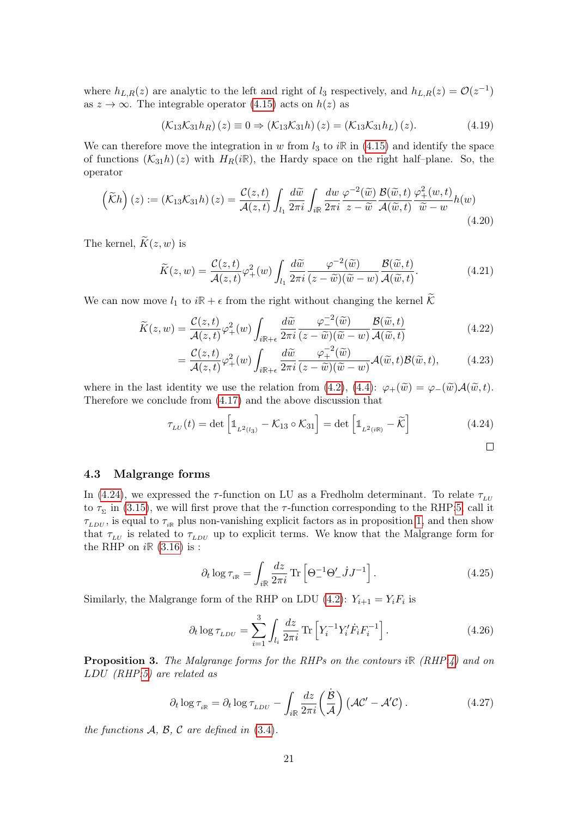where  $h_{L,R}(z)$  are analytic to the left and right of  $l_3$  respectively, and  $h_{L,R}(z) = \mathcal{O}(z^{-1})$ as  $z \to \infty$ . The integrable operator [\(4.15\)](#page-19-3) acts on  $h(z)$  as

$$
\left(\mathcal{K}_{13}\mathcal{K}_{31}h_R\right)(z) \equiv 0 \Rightarrow \left(\mathcal{K}_{13}\mathcal{K}_{31}h\right)(z) = \left(\mathcal{K}_{13}\mathcal{K}_{31}h_L\right)(z). \tag{4.19}
$$

We can therefore move the integration in w from  $l_3$  to  $i\mathbb{R}$  in [\(4.15\)](#page-19-3) and identify the space of functions  $(\mathcal{K}_{31}h)(z)$  with  $H_R(i\mathbb{R})$ , the Hardy space on the right half-plane. So, the operator

$$
\left(\widetilde{\mathcal{K}}h\right)(z) := \left(\mathcal{K}_{13}\mathcal{K}_{31}h\right)(z) = \frac{\mathcal{C}(z,t)}{\mathcal{A}(z,t)} \int_{l_1} \frac{d\widetilde{w}}{2\pi i} \int_{i\mathbb{R}} \frac{dw}{2\pi i} \frac{\varphi^{-2}(\widetilde{w})}{z - \widetilde{w}} \frac{\mathcal{B}(\widetilde{w},t)}{\mathcal{A}(\widetilde{w},t)} \frac{\varphi_{+}^{2}(w,t)}{\widetilde{w} - w} h(w) \tag{4.20}
$$

The kernel,  $\widetilde{K}(z, w)$  is

$$
\widetilde{K}(z,w) = \frac{\mathcal{C}(z,t)}{\mathcal{A}(z,t)} \varphi_+^2(w) \int_{l_1} \frac{d\widetilde{w}}{2\pi i} \frac{\varphi^{-2}(\widetilde{w})}{(z-\widetilde{w})(\widetilde{w}-w)} \frac{\mathcal{B}(\widetilde{w},t)}{\mathcal{A}(\widetilde{w},t)}.
$$
\n(4.21)

We can now move  $l_1$  to  $i\mathbb{R} + \epsilon$  from the right without changing the kernel  $\widetilde{\mathcal{K}}$ 

$$
\widetilde{K}(z,w) = \frac{\mathcal{C}(z,t)}{\mathcal{A}(z,t)} \varphi_+^2(w) \int_{i\mathbb{R}+\epsilon} \frac{d\widetilde{w}}{2\pi i} \frac{\varphi_-^{-2}(\widetilde{w})}{(z-\widetilde{w})(\widetilde{w}-w)} \frac{\mathcal{B}(\widetilde{w},t)}{\mathcal{A}(\widetilde{w},t)} \tag{4.22}
$$

<span id="page-20-1"></span>
$$
= \frac{\mathcal{C}(z,t)}{\mathcal{A}(z,t)} \varphi_+^2(w) \int_{i\mathbb{R}+\epsilon} \frac{d\widetilde{w}}{2\pi i} \frac{\varphi_+^{-2}(\widetilde{w})}{(z-\widetilde{w})(\widetilde{w}-w)} \mathcal{A}(\widetilde{w},t) \mathcal{B}(\widetilde{w},t), \tag{4.23}
$$

where in the last identity we use the relation from [\(4.2\)](#page-17-5), [\(4.4\)](#page-17-4):  $\varphi_+(\tilde{w}) = \varphi_-(\tilde{w})\mathcal{A}(\tilde{w},t)$ . Therefore we conclude from [\(4.17\)](#page-19-2) and the above discussion that

$$
\tau_{LU}(t) = \det \left[ \mathbb{1}_{L^2(l_3)} - \mathcal{K}_{13} \circ \mathcal{K}_{31} \right] = \det \left[ \mathbb{1}_{L^2(i\mathbb{R})} - \widetilde{\mathcal{K}} \right]
$$
(4.24)

#### <span id="page-20-0"></span>4.3 Malgrange forms

In [\(4.24\)](#page-20-1), we expressed the  $\tau$ -function on LU as a Fredholm determinant. To relate  $\tau_{\mu\nu}$ to  $\tau_{\Sigma}$  in [\(3.15\)](#page-13-6), we will first prove that the  $\tau$ -function corresponding to the RHP[:5,](#page-17-2) call it  $\tau_{LDU}$ , is equal to  $\tau_{i\mathbb{R}}$  plus non-vanishing explicit factors as in proposition [1,](#page-13-5) and then show that  $\tau_{LU}$  is related to  $\tau_{LDU}$  up to explicit terms. We know that the Malgrange form for the RHP on  $i\mathbb{R}$  [\(3.16\)](#page-13-4) is :

<span id="page-20-4"></span><span id="page-20-2"></span>
$$
\partial_t \log \tau_{i\mathbb{R}} = \int_{i\mathbb{R}} \frac{dz}{2\pi i} \operatorname{Tr} \left[ \Theta_-^{-1} \Theta_-' \dot{J} J^{-1} \right]. \tag{4.25}
$$

Similarly, the Malgrange form of the RHP on LDU [\(4.2\)](#page-17-5):  $Y_{i+1} = Y_i F_i$  is

$$
\partial_t \log \tau_{LDU} = \sum_{i=1}^3 \int_{l_i} \frac{dz}{2\pi i} \, \text{Tr} \left[ Y_i^{-1} Y_i' \dot{F}_i F_i^{-1} \right]. \tag{4.26}
$$

<span id="page-20-3"></span>Proposition 3. The Malgrange forms for the RHPs on the contours i**R** (RHP[:4\)](#page-10-4) and on LDU (RHP[:5\)](#page-17-2) are related as

$$
\partial_t \log \tau_{i\mathbb{R}} = \partial_t \log \tau_{LDU} - \int_{i\mathbb{R}} \frac{dz}{2\pi i} \left(\frac{\dot{B}}{\mathcal{A}}\right) \left(\mathcal{A}\mathcal{C}' - \mathcal{A}'\mathcal{C}\right). \tag{4.27}
$$

the functions  $A, B, C$  are defined in  $(3.4)$ .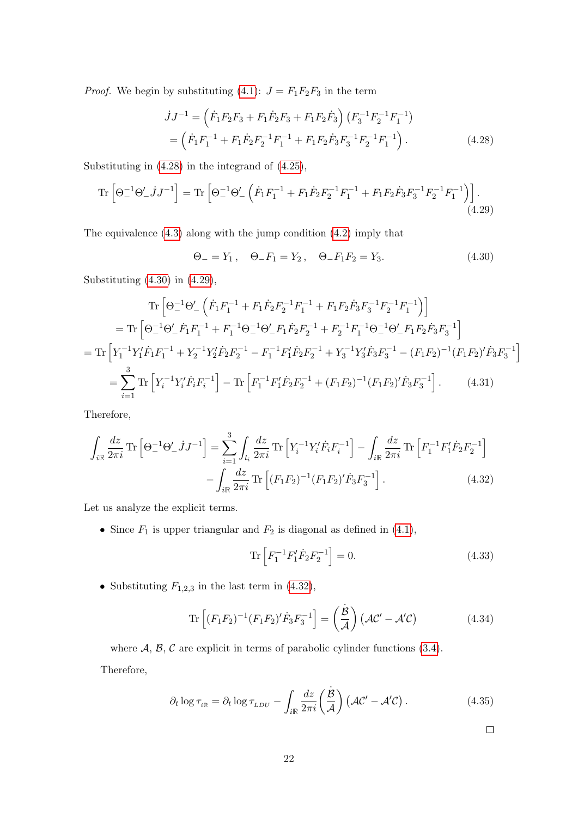*Proof.* We begin by substituting [\(4.1\)](#page-17-6):  $J = F_1F_2F_3$  in the term

$$
\dot{J}J^{-1} = \left(\dot{F}_1 F_2 F_3 + F_1 \dot{F}_2 F_3 + F_1 F_2 \dot{F}_3\right) \left(F_3^{-1} F_2^{-1} F_1^{-1}\right) \n= \left(\dot{F}_1 F_1^{-1} + F_1 \dot{F}_2 F_2^{-1} F_1^{-1} + F_1 F_2 \dot{F}_3 F_3^{-1} F_2^{-1} F_1^{-1}\right).
$$
\n(4.28)

Substituting in [\(4.28\)](#page-21-0) in the integrand of [\(4.25\)](#page-20-2),

$$
\operatorname{Tr}\left[\Theta_{-}^{-1}\Theta_{-}'jJ^{-1}\right] = \operatorname{Tr}\left[\Theta_{-}^{-1}\Theta_{-}'\left(\dot{F}_{1}F_{1}^{-1} + F_{1}\dot{F}_{2}F_{2}^{-1}F_{1}^{-1} + F_{1}F_{2}\dot{F}_{3}F_{3}^{-1}F_{2}^{-1}F_{1}^{-1}\right)\right].\tag{4.29}
$$

The equivalence [\(4.3\)](#page-17-7) along with the jump condition [\(4.2\)](#page-17-5) imply that

<span id="page-21-2"></span><span id="page-21-1"></span><span id="page-21-0"></span>
$$
\Theta_{-} = Y_1, \quad \Theta_{-} F_1 = Y_2, \quad \Theta_{-} F_1 F_2 = Y_3.
$$
\n(4.30)

Substituting [\(4.30\)](#page-21-1) in [\(4.29\)](#page-21-2),

$$
\operatorname{Tr}\left[\Theta_{-}^{-1}\Theta_{-}'\left(\dot{F}_{1}F_{1}^{-1}+F_{1}\dot{F}_{2}F_{2}^{-1}F_{1}^{-1}+F_{1}F_{2}\dot{F}_{3}F_{3}^{-1}F_{2}^{-1}F_{1}^{-1}\right)\right]
$$
\n
$$
=\operatorname{Tr}\left[\Theta_{-}^{-1}\Theta_{-}'\dot{F}_{1}F_{1}^{-1}+F_{1}^{-1}\Theta_{-}^{-1}\Theta_{-}'F_{1}\dot{F}_{2}F_{2}^{-1}+F_{2}^{-1}F_{1}^{-1}\Theta_{-}^{-1}\Theta_{-}'F_{1}F_{2}\dot{F}_{3}F_{3}^{-1}\right]
$$
\n
$$
=\operatorname{Tr}\left[Y_{1}^{-1}Y_{1}'\dot{F}_{1}F_{1}^{-1}+Y_{2}^{-1}Y_{2}'\dot{F}_{2}F_{2}^{-1}-F_{1}^{-1}F_{1}'\dot{F}_{2}F_{2}^{-1}+Y_{3}^{-1}Y_{3}'\dot{F}_{3}F_{3}^{-1}-(F_{1}F_{2})^{-1}(F_{1}F_{2})'\dot{F}_{3}F_{3}^{-1}\right]
$$
\n
$$
=\sum_{i=1}^{3}\operatorname{Tr}\left[Y_{i}^{-1}Y_{i}'\dot{F}_{i}F_{i}^{-1}\right]-\operatorname{Tr}\left[F_{1}^{-1}F_{1}'\dot{F}_{2}F_{2}^{-1}+(F_{1}F_{2})^{-1}(F_{1}F_{2})'\dot{F}_{3}F_{3}^{-1}\right].\tag{4.31}
$$

Therefore,

$$
\int_{i\mathbb{R}} \frac{dz}{2\pi i} \operatorname{Tr} \left[ \Theta_{-}^{-1} \Theta_{-}' j J^{-1} \right] = \sum_{i=1}^{3} \int_{l_{i}} \frac{dz}{2\pi i} \operatorname{Tr} \left[ Y_{i}^{-1} Y_{i}' \dot{F}_{i} F_{i}^{-1} \right] - \int_{i\mathbb{R}} \frac{dz}{2\pi i} \operatorname{Tr} \left[ F_{1}^{-1} F_{1}' \dot{F}_{2} F_{2}^{-1} \right] - \int_{i\mathbb{R}} \frac{dz}{2\pi i} \operatorname{Tr} \left[ (F_{1} F_{2})^{-1} (F_{1} F_{2})' \dot{F}_{3} F_{3}^{-1} \right]. \tag{4.32}
$$

Let us analyze the explicit terms.

• Since  $F_1$  is upper triangular and  $F_2$  is diagonal as defined in [\(4.1\)](#page-17-6),

<span id="page-21-3"></span>
$$
\operatorname{Tr}\left[F_1^{-1}F_1'\dot{F}_2F_2^{-1}\right] = 0.\tag{4.33}
$$

• Substituting  $F_{1,2,3}$  in the last term in [\(4.32\)](#page-21-3),

$$
\operatorname{Tr}\left[ (F_1 F_2)^{-1} (F_1 F_2)' \dot{F}_3 F_3^{-1} \right] = \left( \frac{\dot{\mathcal{B}}}{\mathcal{A}} \right) \left( \mathcal{A} \mathcal{C}' - \mathcal{A}' \mathcal{C} \right) \tag{4.34}
$$

where  $A, B, C$  are explicit in terms of parabolic cylinder functions [\(3.4\)](#page-11-1). Therefore,

$$
\partial_t \log \tau_{_{i\mathbb{R}}} = \partial_t \log \tau_{_{LDU}} - \int_{i\mathbb{R}} \frac{dz}{2\pi i} \left(\frac{\dot{\mathcal{B}}}{\mathcal{A}}\right) \left(\mathcal{A}\mathcal{C}' - \mathcal{A}'\mathcal{C}\right). \tag{4.35}
$$

<span id="page-21-4"></span> $\Box$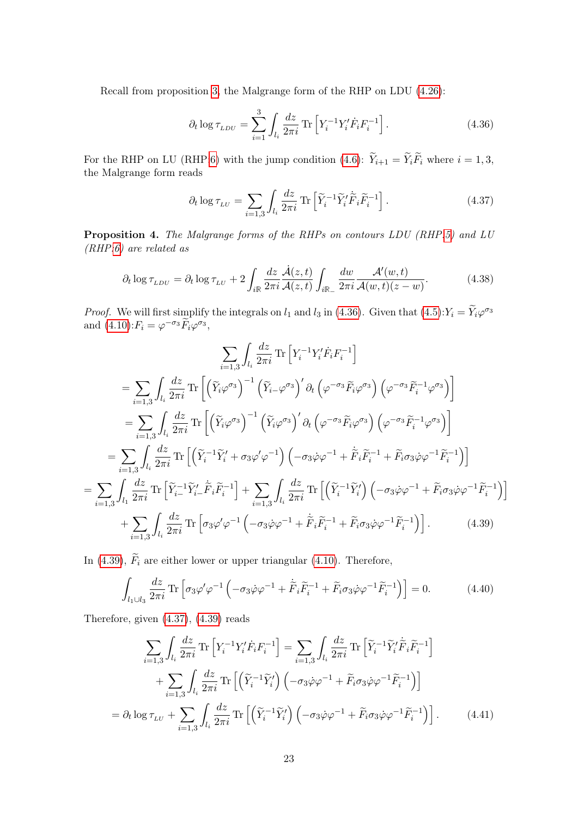Recall from proposition [3,](#page-20-3) the Malgrange form of the RHP on LDU [\(4.26\)](#page-20-4):

<span id="page-22-0"></span>
$$
\partial_t \log \tau_{LDU} = \sum_{i=1}^3 \int_{l_i} \frac{dz}{2\pi i} \, \text{Tr} \left[ Y_i^{-1} Y_i' \dot{F}_i F_i^{-1} \right]. \tag{4.36}
$$

For the RHP on LU (RHP[:6\)](#page-17-3) with the jump condition [\(4.6\)](#page-18-3):  $\widetilde{Y}_{i+1} = \widetilde{Y}_i \widetilde{F}_i$  where  $i = 1, 3$ , the Malgrange form reads

<span id="page-22-2"></span>
$$
\partial_t \log \tau_{LU} = \sum_{i=1,3} \int_{l_i} \frac{dz}{2\pi i} \operatorname{Tr} \left[ \tilde{Y}_i^{-1} \tilde{Y}_i' \tilde{F}_i \tilde{F}_i^{-1} \right]. \tag{4.37}
$$

<span id="page-22-4"></span>Proposition 4. The Malgrange forms of the RHPs on contours LDU (RHP[:5\)](#page-17-2) and LU (RHP[:6\)](#page-17-3) are related as

$$
\partial_t \log \tau_{LDU} = \partial_t \log \tau_{LU} + 2 \int_{i\mathbb{R}} \frac{dz}{2\pi i} \frac{\dot{A}(z,t)}{\mathcal{A}(z,t)} \int_{i\mathbb{R}_-} \frac{dw}{2\pi i} \frac{\mathcal{A}'(w,t)}{\mathcal{A}(w,t)(z-w)}.
$$
(4.38)

*Proof.* We will first simplify the integrals on  $l_1$  and  $l_3$  in [\(4.36\)](#page-22-0). Given that [\(4.5\)](#page-17-8): $Y_i = \tilde{Y}_i \varphi^{\sigma_3}$ and  $(4.10)$ :  $F_i = \varphi^{-\sigma_3} \widetilde{F}_i \varphi^{\sigma_3}$ ,

$$
\sum_{i=1,3} \int_{l_i} \frac{dz}{2\pi i} \operatorname{Tr} \left[ Y_i^{-1} Y_i' \dot{F}_i F_i^{-1} \right]
$$
\n
$$
= \sum_{i=1,3} \int_{l_i} \frac{dz}{2\pi i} \operatorname{Tr} \left[ \left( \widetilde{Y}_i \varphi^{\sigma_3} \right)^{-1} \left( \widetilde{Y}_{i-} \varphi^{\sigma_3} \right)' \partial_t \left( \varphi^{-\sigma_3} \widetilde{F}_i \varphi^{\sigma_3} \right) \left( \varphi^{-\sigma_3} \widetilde{F}_i^{-1} \varphi^{\sigma_3} \right) \right]
$$
\n
$$
= \sum_{i=1,3} \int_{l_i} \frac{dz}{2\pi i} \operatorname{Tr} \left[ \left( \widetilde{Y}_i \varphi^{\sigma_3} \right)^{-1} \left( \widetilde{Y}_i \varphi^{\sigma_3} \right)' \partial_t \left( \varphi^{-\sigma_3} \widetilde{F}_i \varphi^{\sigma_3} \right) \left( \varphi^{-\sigma_3} \widetilde{F}_i^{-1} \varphi^{\sigma_3} \right) \right]
$$
\n
$$
= \sum_{i=1,3} \int_{l_i} \frac{dz}{2\pi i} \operatorname{Tr} \left[ \left( \widetilde{Y}_i^{-1} \widetilde{Y}_i' + \sigma_3 \varphi' \varphi^{-1} \right) \left( -\sigma_3 \dot{\varphi} \varphi^{-1} + \widetilde{F}_i \widetilde{F}_i^{-1} + \widetilde{F}_i \sigma_3 \dot{\varphi} \varphi^{-1} \widetilde{F}_i^{-1} \right) \right]
$$
\n
$$
= \sum_{i=1,3} \int_{l_1} \frac{dz}{2\pi i} \operatorname{Tr} \left[ \widetilde{Y}_{i-}^{-1} \widetilde{Y}_{i-} \widetilde{F}_i \widetilde{F}_i^{-1} \right] + \sum_{i=1,3} \int_{l_i} \frac{dz}{2\pi i} \operatorname{Tr} \left[ \left( \widetilde{Y}_i^{-1} \widetilde{Y}_i' \right) \left( -\sigma_3 \dot{\varphi} \varphi^{-1} + \widetilde{F}_i \sigma_3 \dot{\varphi} \varphi^{-1} \widetilde{F}_
$$

In [\(4.39\)](#page-22-1),  $\widetilde{F}_i$  are either lower or upper triangular [\(4.10\)](#page-18-4). Therefore,

<span id="page-22-1"></span>
$$
\int_{l_1 \cup l_3} \frac{dz}{2\pi i} \operatorname{Tr} \left[ \sigma_3 \varphi' \varphi^{-1} \left( -\sigma_3 \dot{\varphi} \varphi^{-1} + \dot{\tilde{F}}_i \tilde{F}_i^{-1} + \tilde{F}_i \sigma_3 \dot{\varphi} \varphi^{-1} \tilde{F}_i^{-1} \right) \right] = 0. \tag{4.40}
$$

Therefore, given [\(4.37\)](#page-22-2), [\(4.39\)](#page-22-1) reads

<span id="page-22-3"></span>
$$
\sum_{i=1,3} \int_{l_i} \frac{dz}{2\pi i} \operatorname{Tr} \left[ Y_i^{-1} Y_i' \dot{F}_i F_i^{-1} \right] = \sum_{i=1,3} \int_{l_i} \frac{dz}{2\pi i} \operatorname{Tr} \left[ \tilde{Y}_i^{-1} \tilde{Y}_i' \dot{\tilde{F}}_i \tilde{F}_i^{-1} \right]
$$

$$
+ \sum_{i=1,3} \int_{l_i} \frac{dz}{2\pi i} \operatorname{Tr} \left[ \left( \tilde{Y}_i^{-1} \tilde{Y}_i' \right) \left( -\sigma_3 \dot{\varphi} \varphi^{-1} + \tilde{F}_i \sigma_3 \dot{\varphi} \varphi^{-1} \tilde{F}_i^{-1} \right) \right]
$$

$$
= \partial_t \log \tau_{LU} + \sum_{i=1,3} \int_{l_i} \frac{dz}{2\pi i} \operatorname{Tr} \left[ \left( \tilde{Y}_i^{-1} \tilde{Y}_i' \right) \left( -\sigma_3 \dot{\varphi} \varphi^{-1} + \tilde{F}_i \sigma_3 \dot{\varphi} \varphi^{-1} \tilde{F}_i^{-1} \right) \right]. \tag{4.41}
$$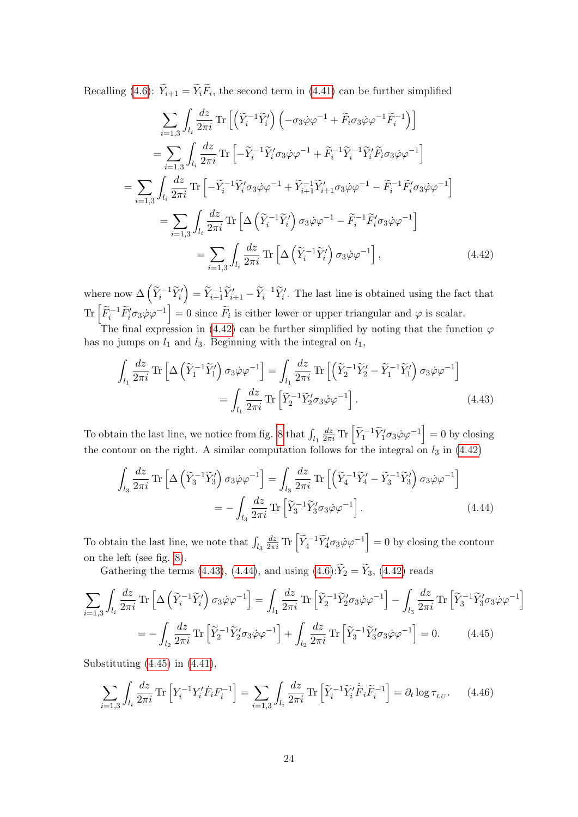Recalling [\(4.6\)](#page-18-3):  $Y_{i+1} = Y_i F_i$ , the second term in [\(4.41\)](#page-22-3) can be further simplified

$$
\sum_{i=1,3} \int_{l_i} \frac{dz}{2\pi i} \operatorname{Tr} \left[ \left( \widetilde{Y}_i^{-1} \widetilde{Y}_i' \right) \left( -\sigma_3 \dot{\varphi} \varphi^{-1} + \widetilde{F}_i \sigma_3 \dot{\varphi} \varphi^{-1} \widetilde{F}_i^{-1} \right) \right]
$$
\n
$$
= \sum_{i=1,3} \int_{l_i} \frac{dz}{2\pi i} \operatorname{Tr} \left[ -\widetilde{Y}_i^{-1} \widetilde{Y}_i' \sigma_3 \dot{\varphi} \varphi^{-1} + \widetilde{F}_i^{-1} \widetilde{Y}_i^{-1} \widetilde{Y}_i' \widetilde{F}_i \sigma_3 \dot{\varphi} \varphi^{-1} \right]
$$
\n
$$
= \sum_{i=1,3} \int_{l_i} \frac{dz}{2\pi i} \operatorname{Tr} \left[ -\widetilde{Y}_i^{-1} \widetilde{Y}_i' \sigma_3 \dot{\varphi} \varphi^{-1} + \widetilde{Y}_{i+1}^{-1} \widetilde{Y}_{i+1}' \sigma_3 \dot{\varphi} \varphi^{-1} - \widetilde{F}_i^{-1} \widetilde{F}_i' \sigma_3 \dot{\varphi} \varphi^{-1} \right]
$$
\n
$$
= \sum_{i=1,3} \int_{l_i} \frac{dz}{2\pi i} \operatorname{Tr} \left[ \Delta \left( \widetilde{Y}_i^{-1} \widetilde{Y}_i' \right) \sigma_3 \dot{\varphi} \varphi^{-1} - \widetilde{F}_i^{-1} \widetilde{F}_i' \sigma_3 \dot{\varphi} \varphi^{-1} \right]
$$
\n
$$
= \sum_{i=1,3} \int_{l_i} \frac{dz}{2\pi i} \operatorname{Tr} \left[ \Delta \left( \widetilde{Y}_i^{-1} \widetilde{Y}_i' \right) \sigma_3 \dot{\varphi} \varphi^{-1} \right], \tag{4.42}
$$

where now  $\Delta \left( \widetilde{Y}_i^{-1} \widetilde{Y}_i' \right)$  $\left( \sum_{i=1}^{n} \sum_{i=1}^{n} \widetilde{Y}'_{i+1} - \widetilde{Y}'_{i} \right)^{-1}$ . The last line is obtained using the fact that  $\text{Tr}\left[\widetilde{F}_i^{-1}\widetilde{F}_i'\sigma_3\dot{\varphi}\dot{\varphi}^{-1}\right]=0$  since  $\widetilde{F}_i$  is either lower or upper triangular and  $\varphi$  is scalar.

The final expression in [\(4.42\)](#page-23-0) can be further simplified by noting that the function  $\varphi$ has no jumps on  $l_1$  and  $l_3$ . Beginning with the integral on  $l_1$ ,

<span id="page-23-1"></span><span id="page-23-0"></span>
$$
\int_{l_1} \frac{dz}{2\pi i} \operatorname{Tr} \left[ \Delta \left( \widetilde{Y}_1^{-1} \widetilde{Y}_1' \right) \sigma_3 \dot{\varphi} \varphi^{-1} \right] = \int_{l_1} \frac{dz}{2\pi i} \operatorname{Tr} \left[ \left( \widetilde{Y}_2^{-1} \widetilde{Y}_2' - \widetilde{Y}_1^{-1} \widetilde{Y}_1' \right) \sigma_3 \dot{\varphi} \varphi^{-1} \right]
$$

$$
= \int_{l_1} \frac{dz}{2\pi i} \operatorname{Tr} \left[ \widetilde{Y}_2^{-1} \widetilde{Y}_2' \sigma_3 \dot{\varphi} \varphi^{-1} \right]. \tag{4.43}
$$

To obtain the last line, we notice from fig. [8](#page-18-1) that  $\int_{l_1}$  $\frac{dz}{2\pi i} \text{Tr} \left[ \tilde{Y}_1^{-1} \tilde{Y}_1' \sigma_3 \dot{\varphi} \varphi^{-1} \right] = 0$  by closing the contour on the right. A similar computation follows for the integral on  $l_3$  in [\(4.42\)](#page-23-0)

<span id="page-23-2"></span>
$$
\int_{l_3} \frac{dz}{2\pi i} \operatorname{Tr} \left[ \Delta \left( \widetilde{Y}_3^{-1} \widetilde{Y}_3' \right) \sigma_3 \dot{\varphi} \varphi^{-1} \right] = \int_{l_3} \frac{dz}{2\pi i} \operatorname{Tr} \left[ \left( \widetilde{Y}_4^{-1} \widetilde{Y}_4' - \widetilde{Y}_3^{-1} \widetilde{Y}_3' \right) \sigma_3 \dot{\varphi} \varphi^{-1} \right]
$$

$$
= - \int_{l_3} \frac{dz}{2\pi i} \operatorname{Tr} \left[ \widetilde{Y}_3^{-1} \widetilde{Y}_3' \sigma_3 \dot{\varphi} \varphi^{-1} \right]. \tag{4.44}
$$

To obtain the last line, we note that  $\int_{l_3}$  $\frac{dz}{2\pi i}$  Tr  $\left[ \tilde{Y}_4^{-1} \tilde{Y}_4' \sigma_3 \dot{\varphi} \varphi^{-1} \right] = 0$  by closing the contour on the left (see fig. [8\)](#page-18-1).

Gathering the terms [\(4.43\)](#page-23-1), [\(4.44\)](#page-23-2), and using  $(4.6)\widetilde{Y}_2 = \widetilde{Y}_3$  $(4.6)\widetilde{Y}_2 = \widetilde{Y}_3$ , [\(4.42\)](#page-23-0) reads

$$
\sum_{i=1,3} \int_{l_i} \frac{dz}{2\pi i} \operatorname{Tr} \left[ \Delta \left( \widetilde{Y}_i^{-1} \widetilde{Y}_i' \right) \sigma_3 \dot{\varphi} \varphi^{-1} \right] = \int_{l_1} \frac{dz}{2\pi i} \operatorname{Tr} \left[ \widetilde{Y}_2^{-1} \widetilde{Y}_2' \sigma_3 \dot{\varphi} \varphi^{-1} \right] - \int_{l_3} \frac{dz}{2\pi i} \operatorname{Tr} \left[ \widetilde{Y}_3^{-1} \widetilde{Y}_3' \sigma_3 \dot{\varphi} \varphi^{-1} \right]
$$

$$
= - \int_{l_2} \frac{dz}{2\pi i} \operatorname{Tr} \left[ \widetilde{Y}_2^{-1} \widetilde{Y}_2' \sigma_3 \dot{\varphi} \varphi^{-1} \right] + \int_{l_2} \frac{dz}{2\pi i} \operatorname{Tr} \left[ \widetilde{Y}_3^{-1} \widetilde{Y}_3' \sigma_3 \dot{\varphi} \varphi^{-1} \right] = 0. \tag{4.45}
$$

Substituting  $(4.45)$  in  $(4.41)$ ,

<span id="page-23-4"></span><span id="page-23-3"></span>
$$
\sum_{i=1,3} \int_{l_i} \frac{dz}{2\pi i} \, \text{Tr} \left[ Y_i^{-1} Y_i' \dot{F}_i F_i^{-1} \right] = \sum_{i=1,3} \int_{l_i} \frac{dz}{2\pi i} \, \text{Tr} \left[ \tilde{Y}_i^{-1} \tilde{Y}_i' \dot{\tilde{F}}_i \tilde{F}_i^{-1} \right] = \partial_t \log \tau_{LU}. \tag{4.46}
$$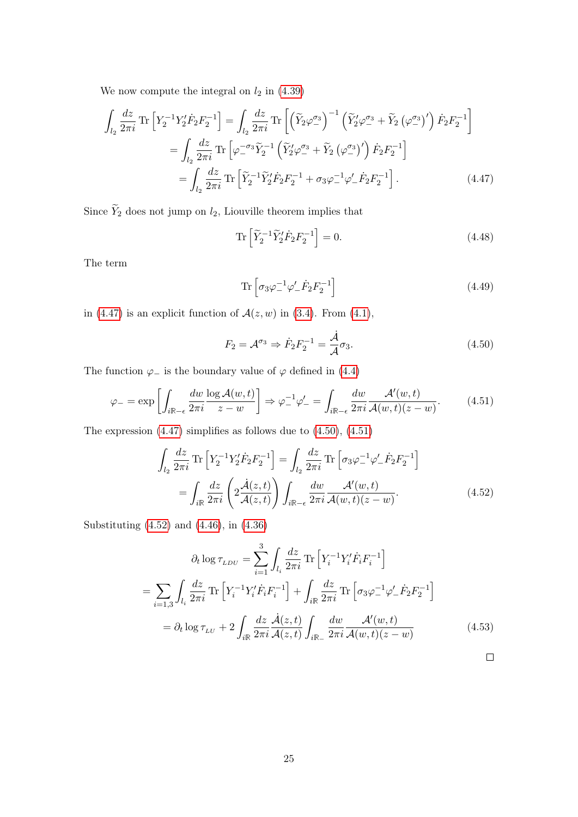We now compute the integral on  $l_2$  in  $(4.39)$ 

$$
\int_{l_2} \frac{dz}{2\pi i} \operatorname{Tr} \left[ Y_2^{-1} Y_2' \dot{F}_2 F_2^{-1} \right] = \int_{l_2} \frac{dz}{2\pi i} \operatorname{Tr} \left[ \left( \widetilde{Y}_2 \varphi_-^{\sigma_3} \right)^{-1} \left( \widetilde{Y}_2' \varphi_-^{\sigma_3} + \widetilde{Y}_2 \left( \varphi_-^{\sigma_3} \right)' \right) \dot{F}_2 F_2^{-1} \right]
$$
  
\n
$$
= \int_{l_2} \frac{dz}{2\pi i} \operatorname{Tr} \left[ \varphi_-^{-\sigma_3} \widetilde{Y}_2^{-1} \left( \widetilde{Y}_2' \varphi_-^{\sigma_3} + \widetilde{Y}_2 \left( \varphi_-^{\sigma_3} \right)' \right) \dot{F}_2 F_2^{-1} \right]
$$
  
\n
$$
= \int_{l_2} \frac{dz}{2\pi i} \operatorname{Tr} \left[ \widetilde{Y}_2^{-1} \widetilde{Y}_2' \dot{F}_2 F_2^{-1} + \sigma_3 \varphi_-^{-1} \varphi_-' \dot{F}_2 F_2^{-1} \right]. \tag{4.47}
$$

Since  $\widetilde{Y}_2$  does not jump on  $l_2$ , Liouville theorem implies that

<span id="page-24-0"></span>
$$
\operatorname{Tr}\left[\widetilde{Y}_2^{-1}\widetilde{Y}_2'\dot{F}_2F_2^{-1}\right] = 0.\tag{4.48}
$$

The term

<span id="page-24-1"></span>
$$
\operatorname{Tr}\left[\sigma_3\varphi_-^{-1}\varphi_-' \dot{F}_2 F_2^{-1}\right] \tag{4.49}
$$

in [\(4.47\)](#page-24-0) is an explicit function of  $\mathcal{A}(z, w)$  in [\(3.4\)](#page-11-1). From [\(4.1\)](#page-17-6),

<span id="page-24-3"></span><span id="page-24-2"></span>
$$
F_2 = \mathcal{A}^{\sigma_3} \Rightarrow \dot{F}_2 F_2^{-1} = \frac{\dot{\mathcal{A}}}{\mathcal{A}} \sigma_3.
$$
 (4.50)

The function  $\varphi$ <sub>−</sub> is the boundary value of  $\varphi$  defined in [\(4.4\)](#page-17-4)

$$
\varphi_{-} = \exp\left[\int_{i\mathbb{R}-\epsilon} \frac{dw}{2\pi i} \frac{\log \mathcal{A}(w,t)}{z-w}\right] \Rightarrow \varphi_{-}^{-1}\varphi_{-}' = \int_{i\mathbb{R}-\epsilon} \frac{dw}{2\pi i} \frac{\mathcal{A}'(w,t)}{\mathcal{A}(w,t)(z-w)}.\tag{4.51}
$$

The expression [\(4.47\)](#page-24-0) simplifies as follows due to [\(4.50\)](#page-24-1), [\(4.51\)](#page-24-2)

$$
\int_{l_2} \frac{dz}{2\pi i} \operatorname{Tr} \left[ Y_2^{-1} Y_2' \dot{F}_2 F_2^{-1} \right] = \int_{l_2} \frac{dz}{2\pi i} \operatorname{Tr} \left[ \sigma_3 \varphi_-^{-1} \varphi_-' \dot{F}_2 F_2^{-1} \right]
$$
\n
$$
= \int_{i\mathbb{R}} \frac{dz}{2\pi i} \left( 2 \frac{\dot{A}(z,t)}{\mathcal{A}(z,t)} \right) \int_{i\mathbb{R}-\epsilon} \frac{dw}{2\pi i} \frac{\mathcal{A}'(w,t)}{\mathcal{A}(w,t)(z-w)}.
$$
\n(4.52)

Substituting [\(4.52\)](#page-24-3) and [\(4.46\)](#page-23-4), in [\(4.36\)](#page-22-0)

<span id="page-24-4"></span>
$$
\partial_t \log \tau_{LDU} = \sum_{i=1}^3 \int_{l_i} \frac{dz}{2\pi i} \operatorname{Tr} \left[ Y_i^{-1} Y_i' \dot{F}_i F_i^{-1} \right]
$$
  
= 
$$
\sum_{i=1,3} \int_{l_i} \frac{dz}{2\pi i} \operatorname{Tr} \left[ Y_i^{-1} Y_i' \dot{F}_i F_i^{-1} \right] + \int_{i\mathbb{R}} \frac{dz}{2\pi i} \operatorname{Tr} \left[ \sigma_3 \varphi_-^{-1} \varphi_-' \dot{F}_2 F_2^{-1} \right]
$$
  
= 
$$
\partial_t \log \tau_{LU} + 2 \int_{i\mathbb{R}} \frac{dz}{2\pi i} \frac{\dot{A}(z,t)}{\mathcal{A}(z,t)} \int_{i\mathbb{R}_-} \frac{dw}{2\pi i} \frac{\mathcal{A}'(w,t)}{\mathcal{A}(w,t)(z-w)} \tag{4.53}
$$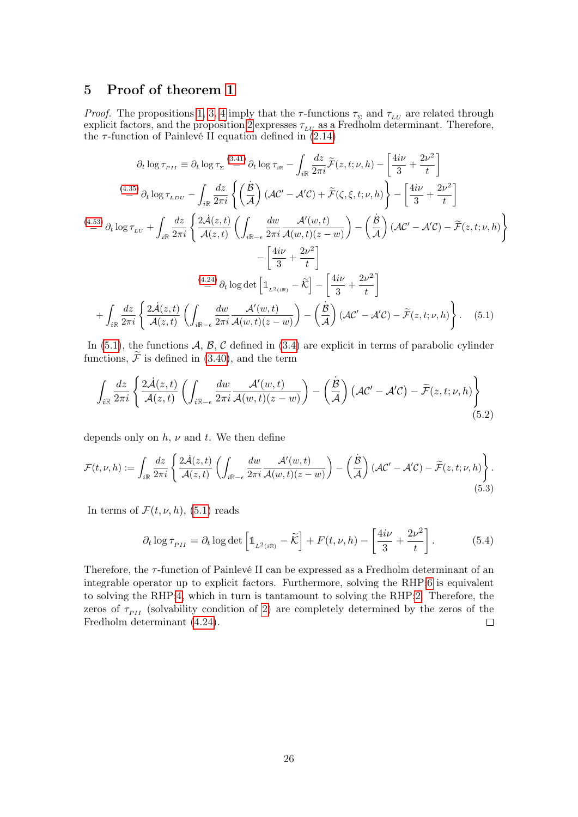# <span id="page-25-0"></span>5 Proof of theorem [1](#page-3-0)

*Proof.* The propositions [1,](#page-13-5) [3,](#page-20-3) [4](#page-22-4) imply that the  $\tau$ -functions  $\tau_{\Sigma}$  and  $\tau_{LU}$  are related through explicit factors, and the proposition [2](#page-18-5) expresses  $\tau_{LU}$  as a Fredholm determinant. Therefore, the  $\tau$ -function of Painlevé II equation defined in  $(2.14)$ 

$$
\partial_t \log \tau_{\scriptscriptstyle PII} \equiv \partial_t \log \tau_{\scriptscriptstyle \Sigma} \stackrel{(3.41)}{=} \partial_t \log \tau_{\scriptscriptstyle \Sigma} - \int_{i\mathbb{R}} \frac{dz}{2\pi i} \widetilde{\mathcal{F}}(z, t; \nu, h) - \left[ \frac{4i\nu}{3} + \frac{2\nu^2}{t} \right]
$$
\n
$$
\stackrel{(4.35)}{=} \partial_t \log \tau_{\scriptscriptstyle LDU} - \int_{i\mathbb{R}} \frac{dz}{2\pi i} \left\{ \left( \frac{\dot{B}}{\mathcal{A}} \right) (\mathcal{A}C' - \mathcal{A}'C) + \widetilde{\mathcal{F}}(\zeta, \xi, t; \nu, h) \right\} - \left[ \frac{4i\nu}{3} + \frac{2\nu^2}{t} \right]
$$
\n
$$
\stackrel{(4.53)}{=} \partial_t \log \tau_{\scriptscriptstyle LU} + \int_{i\mathbb{R}} \frac{dz}{2\pi i} \left\{ \frac{2\dot{\mathcal{A}}(z, t)}{\mathcal{A}(z, t)} \left( \int_{i\mathbb{R}-\epsilon} \frac{dw}{2\pi i} \frac{\mathcal{A}'(w, t)}{\mathcal{A}(w, t)(z - w)} \right) - \left( \frac{\dot{B}}{\mathcal{A}} \right) (\mathcal{A}C' - \mathcal{A}'C) - \widetilde{\mathcal{F}}(z, t; \nu, h) \right\}
$$
\n
$$
- \left[ \frac{4i\nu}{3} + \frac{2\nu^2}{t} \right]
$$
\n
$$
\stackrel{(4.24)}{=} \partial_t \log \det \left[ \mathbb{1}_{L^2(i\mathbb{R})} - \widetilde{K} \right] - \left[ \frac{4i\nu}{3} + \frac{2\nu^2}{t} \right]
$$
\n
$$
+ \int_{i\mathbb{R}} \frac{dz}{2\pi i} \left\{ \frac{2\dot{\mathcal{A}}(z, t)}{\mathcal{A}(z, t)} \left( \int_{i\mathbb{R}-\epsilon} \frac{dw}{2\pi i} \frac{\mathcal{A}'(w, t)}{\mathcal{A}(w, t)(z - w)} \right) - \left( \frac{\dot{B}}{\mathcal{A}} \right) (\mathcal{A}C' - \mathcal{A}'
$$

In  $(5.1)$ , the functions A, B, C defined in  $(3.4)$  are explicit in terms of parabolic cylinder functions,  $\widetilde{\mathcal{F}}$  is defined in [\(3.40\)](#page-16-3), and the term

<span id="page-25-2"></span>
$$
\int_{i\mathbb{R}} \frac{dz}{2\pi i} \left\{ \frac{2\dot{\mathcal{A}}(z,t)}{\mathcal{A}(z,t)} \left( \int_{i\mathbb{R}-\epsilon} \frac{dw}{2\pi i} \frac{\mathcal{A}'(w,t)}{\mathcal{A}(w,t)(z-w)} \right) - \left( \frac{\dot{\mathcal{B}}}{\mathcal{A}} \right) \left( \mathcal{A}\mathcal{C}' - \mathcal{A}'\mathcal{C} \right) - \widetilde{\mathcal{F}}(z,t;\nu,h) \right\}
$$
(5.2)

depends only on  $h, \nu$  and  $t$ . We then define

$$
\mathcal{F}(t,\nu,h) := \int_{i\mathbb{R}} \frac{dz}{2\pi i} \left\{ \frac{2\dot{\mathcal{A}}(z,t)}{\mathcal{A}(z,t)} \left( \int_{i\mathbb{R}-\epsilon} \frac{dw}{2\pi i} \frac{\mathcal{A}'(w,t)}{\mathcal{A}(w,t)(z-w)} \right) - \left( \frac{\dot{\mathcal{B}}}{\mathcal{A}} \right) (\mathcal{A}\mathcal{C}' - \mathcal{A}'\mathcal{C}) - \widetilde{\mathcal{F}}(z,t;\nu,h) \right\}.
$$
\n(5.3)

In terms of  $\mathcal{F}(t, \nu, h)$ , [\(5.1\)](#page-25-2) reads

<span id="page-25-1"></span>
$$
\partial_t \log \tau_{PII} = \partial_t \log \det \left[ \mathbb{1}_{L^2(i\mathbb{R})} - \widetilde{\mathcal{K}} \right] + F(t, \nu, h) - \left[ \frac{4i\nu}{3} + \frac{2\nu^2}{t} \right]. \tag{5.4}
$$

Therefore, the τ-function of Painlevé II can be expressed as a Fredholm determinant of an integrable operator up to explicit factors. Furthermore, solving the RHP[:6](#page-17-3) is equivalent to solving the RHP[:4,](#page-10-4) which in turn is tantamount to solving the RHP[:2.](#page-7-4) Therefore, the zeros of  $\tau_{PI}$  (solvability condition of [2\)](#page-7-4) are completely determined by the zeros of the Fredholm determinant [\(4.24\)](#page-20-1).  $\Box$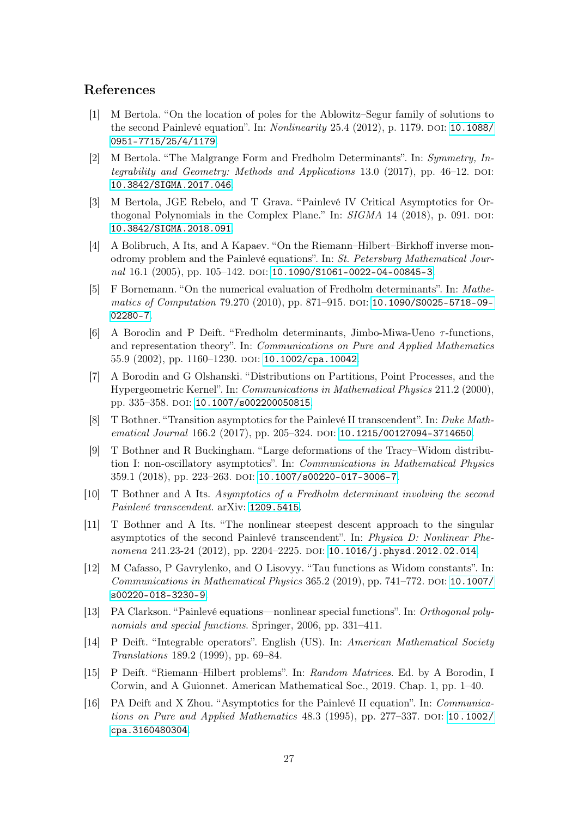# References

- [1] M Bertola. "On the location of poles for the Ablowitz–Segur family of solutions to the second Painlevé equation". In:  $Nonlinearity$  25.4 (2012), p. 1179. DOI: [10.1088/](http://dx.doi.org/10.1088/0951-7715/25/4/1179) [0951-7715/25/4/1179](http://dx.doi.org/10.1088/0951-7715/25/4/1179).
- <span id="page-26-3"></span>[2] M Bertola. "The Malgrange Form and Fredholm Determinants". In: Symmetry, Integrability and Geometry: Methods and Applications 13.0 (2017), pp. 46–12. DOI: [10.3842/SIGMA.2017.046](http://dx.doi.org/10.3842/SIGMA.2017.046).
- [3] M Bertola, JGE Rebelo, and T Grava. "Painlevé IV Critical Asymptotics for Orthogonal Polynomials in the Complex Plane." In:  $SIGMA$  14 (2018), p. 091. DOI: [10.3842/SIGMA.2018.091](http://dx.doi.org/10.3842/SIGMA.2018.091).
- [4] A Bolibruch, A Its, and A Kapaev. "On the Riemann–Hilbert–Birkhoff inverse monodromy problem and the Painlevé equations". In: St. Petersburg Mathematical Journal  $16.1$  (2005), pp. 105–142. doi: [10.1090/S1061-0022-04-00845-3](http://dx.doi.org/10.1090/S1061-0022-04-00845-3).
- <span id="page-26-5"></span>[5] F Bornemann. "On the numerical evaluation of Fredholm determinants". In: Mathe-matics of Computation 79.270 (2010), pp. 871–915. DOI: [10.1090/S0025-5718-09-](http://dx.doi.org/10.1090/S0025-5718-09-02280-7) [02280-7](http://dx.doi.org/10.1090/S0025-5718-09-02280-7).
- <span id="page-26-0"></span>[6] A Borodin and P Deift. "Fredholm determinants, Jimbo-Miwa-Ueno  $\tau$ -functions, and representation theory". In: Communications on Pure and Applied Mathematics 55.9 (2002), pp. 1160–1230. DOI: [10.1002/cpa.10042](http://dx.doi.org/10.1002/cpa.10042).
- <span id="page-26-1"></span>[7] A Borodin and G Olshanski. "Distributions on Partitions, Point Processes, and the Hypergeometric Kernel". In: Communications in Mathematical Physics 211.2 (2000), pp. 335–358. doi: [10.1007/s002200050815](http://dx.doi.org/10.1007/s002200050815).
- [8] T Bothner. "Transition asymptotics for the Painlevé II transcendent". In: Duke Math-ematical Journal 166.2 (2017), pp. 205-324. DOI: [10.1215/00127094-3714650](http://dx.doi.org/10.1215/00127094-3714650).
- [9] T Bothner and R Buckingham. "Large deformations of the Tracy–Widom distribution I: non-oscillatory asymptotics". In: Communications in Mathematical Physics 359.1 (2018), pp. 223–263. DOI: [10.1007/s00220-017-3006-7](http://dx.doi.org/10.1007/s00220-017-3006-7).
- [10] T Bothner and A Its. Asymptotics of a Fredholm determinant involving the second Painlevé transcendent. arXiv: [1209.5415](http://arxiv.org/abs/1209.5415).
- [11] T Bothner and A Its. "The nonlinear steepest descent approach to the singular asymptotics of the second Painlevé transcendent". In: Physica D: Nonlinear Phenomena 241.23-24 (2012), pp. 2204–2225. DOI:  $10.1016/j$ .physd.2012.02.014.
- <span id="page-26-2"></span>[12] M Cafasso, P Gavrylenko, and O Lisovyy. "Tau functions as Widom constants". In: Communications in Mathematical Physics  $365.2$  (2019), pp. 741–772. DOI: [10.1007/](http://dx.doi.org/10.1007/s00220-018-3230-9) [s00220-018-3230-9](http://dx.doi.org/10.1007/s00220-018-3230-9).
- <span id="page-26-6"></span>[13] PA Clarkson. "Painlevé equations—nonlinear special functions". In: Orthogonal polynomials and special functions. Springer, 2006, pp. 331–411.
- <span id="page-26-4"></span>[14] P Deift. "Integrable operators". English (US). In: American Mathematical Society Translations 189.2 (1999), pp. 69–84.
- <span id="page-26-7"></span>[15] P Deift. "Riemann–Hilbert problems". In: Random Matrices. Ed. by A Borodin, I Corwin, and A Guionnet. American Mathematical Soc., 2019. Chap. 1, pp. 1–40.
- [16] PA Deift and X Zhou. "Asymptotics for the Painlevé II equation". In: Communications on Pure and Applied Mathematics  $48.3$  (1995), pp. 277–337. DOI: [10.1002/](http://dx.doi.org/10.1002/cpa.3160480304) [cpa.3160480304](http://dx.doi.org/10.1002/cpa.3160480304).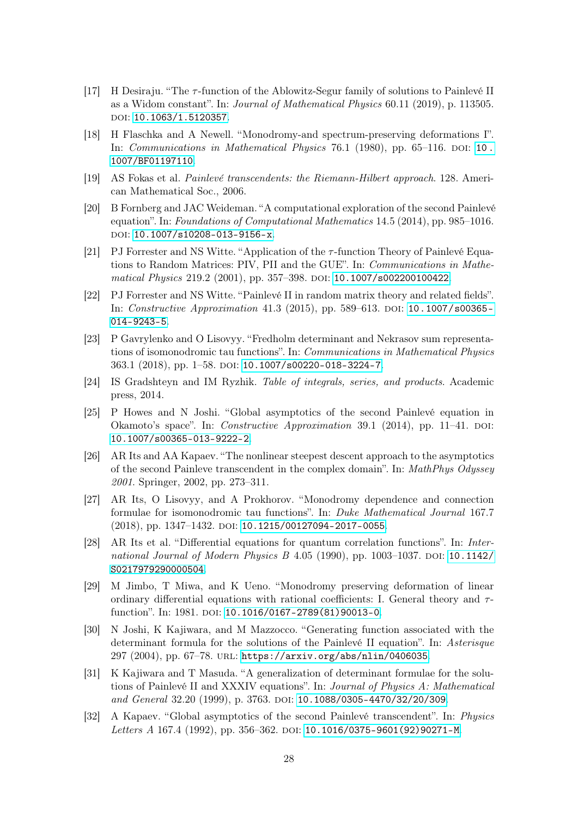- <span id="page-27-4"></span>[17] H Desiraju. "The  $\tau$ -function of the Ablowitz-Segur family of solutions to Painlevé II as a Widom constant". In: Journal of Mathematical Physics 60.11 (2019), p. 113505. DOI: [10.1063/1.5120357](http://dx.doi.org/10.1063/1.5120357).
- <span id="page-27-1"></span>[18] H Flaschka and A Newell. "Monodromy-and spectrum-preserving deformations I". In: *Communications in Mathematical Physics* 76.1 (1980), pp. 65–116. DOI: 10. [1007/BF01197110](http://dx.doi.org/10.1007/BF01197110).
- <span id="page-27-6"></span>[19] AS Fokas et al. Painlevé transcendents: the Riemann-Hilbert approach. 128. American Mathematical Soc., 2006.
- [20] B Fornberg and JAC Weideman. "A computational exploration of the second Painlevé equation". In: Foundations of Computational Mathematics 14.5 (2014), pp. 985–1016. DOI: [10.1007/s10208-013-9156-x](http://dx.doi.org/10.1007/s10208-013-9156-x).
- [21] PJ Forrester and NS Witte. "Application of the  $\tau$ -function Theory of Painlevé Equations to Random Matrices: PIV, PII and the GUE". In: Communications in Mathe-matical Physics 219.2 (2001), pp. 357-398. DOI: [10.1007/s002200100422](http://dx.doi.org/10.1007/s002200100422).
- [22] PJ Forrester and NS Witte. "Painlevé II in random matrix theory and related fields". In: *Constructive Approximation 41.3 (2015)*, pp. 589–613. DOI: [10.1007/s00365-](http://dx.doi.org/10.1007/s00365-014-9243-5) [014-9243-5](http://dx.doi.org/10.1007/s00365-014-9243-5).
- <span id="page-27-3"></span>[23] P Gavrylenko and O Lisovyy. "Fredholm determinant and Nekrasov sum representations of isomonodromic tau functions". In: Communications in Mathematical Physics 363.1 (2018), pp. 1–58. doi: [10.1007/s00220-018-3224-7](http://dx.doi.org/10.1007/s00220-018-3224-7).
- [24] IS Gradshteyn and IM Ryzhik. Table of integrals, series, and products. Academic press, 2014.
- [25] P Howes and N Joshi. "Global asymptotics of the second Painlevé equation in Okamoto's space". In: *Constructive Approximation* 39.1 (2014), pp. 11–41. DOI: [10.1007/s00365-013-9222-2](http://dx.doi.org/10.1007/s00365-013-9222-2).
- [26] AR Its and AA Kapaev. "The nonlinear steepest descent approach to the asymptotics of the second Painleve transcendent in the complex domain". In: MathPhys Odyssey 2001. Springer, 2002, pp. 273–311.
- <span id="page-27-5"></span>[27] AR Its, O Lisovyy, and A Prokhorov. "Monodromy dependence and connection formulae for isomonodromic tau functions". In: Duke Mathematical Journal 167.7 (2018), pp. 1347-1432. DOI: [10.1215/00127094-2017-0055](http://dx.doi.org/10.1215/00127094-2017-0055).
- <span id="page-27-2"></span>[28] AR Its et al. "Differential equations for quantum correlation functions". In: International Journal of Modern Physics B  $4.05$  (1990), pp. 1003-1037. DOI: [10.1142/](http://dx.doi.org/10.1142/S0217979290000504) [S0217979290000504](http://dx.doi.org/10.1142/S0217979290000504).
- <span id="page-27-0"></span>[29] M Jimbo, T Miwa, and K Ueno. "Monodromy preserving deformation of linear ordinary differential equations with rational coefficients: I. General theory and  $\tau$ -function". In: 1981. DOI: [10.1016/0167-2789\(81\)90013-0](http://dx.doi.org/10.1016/0167-2789(81)90013-0).
- <span id="page-27-7"></span>[30] N Joshi, K Kajiwara, and M Mazzocco. "Generating function associated with the determinant formula for the solutions of the Painlevé II equation". In: Asterisque 297 (2004), pp. 67–78. url: <https://arxiv.org/abs/nlin/0406035>.
- <span id="page-27-8"></span>[31] K Kajiwara and T Masuda. "A generalization of determinant formulae for the solutions of Painlevé II and XXXIV equations". In: Journal of Physics A: Mathematical and General 32.20 (1999), p. 3763. DOI: [10.1088/0305-4470/32/20/309](http://dx.doi.org/10.1088/0305-4470/32/20/309).
- [32] A Kapaev. "Global asymptotics of the second Painlevé transcendent". In: Physics Letters A 167.4 (1992), pp. 356-362. DOI: [10.1016/0375-9601\(92\)90271-M](http://dx.doi.org/10.1016/0375-9601(92)90271-M).